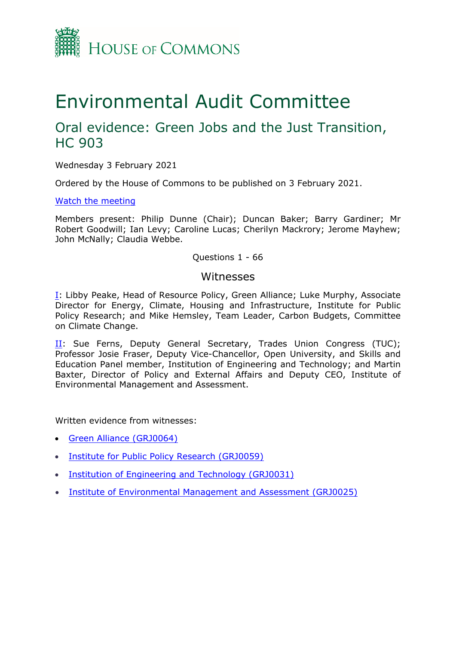

# Environmental Audit Committee

## Oral evidence: Green Jobs and the Just Transition, HC 903

Wednesday 3 February 2021

Ordered by the House of Commons to be published on 3 February 2021.

[Watch](https://www.parliamentlive.tv/Event/Index/f4f2d784-c9e2-4461-980b-46cb3f1af441) [the](https://www.parliamentlive.tv/Event/Index/f4f2d784-c9e2-4461-980b-46cb3f1af441) [meeting](https://www.parliamentlive.tv/Event/Index/f4f2d784-c9e2-4461-980b-46cb3f1af441)

Members present: Philip Dunne (Chair); Duncan Baker; Barry Gardiner; Mr Robert Goodwill; Ian Levy; Caroline Lucas; Cherilyn Mackrory; Jerome Mayhew; John McNally; Claudia Webbe.

#### Questions 1 - 66

#### Witnesses

[I:](#page-0-0) Libby Peake, Head of Resource Policy, Green Alliance; Luke Murphy, Associate Director for Energy, Climate, Housing and Infrastructure, Institute for Public Policy Research; and Mike Hemsley, Team Leader, Carbon Budgets, Committee on Climate Change.

[II](#page-20-0): Sue Ferns, Deputy General Secretary, Trades Union Congress (TUC); Professor Josie Fraser, Deputy Vice-Chancellor, Open University, and Skills and Education Panel member, Institution of Engineering and Technology; and Martin Baxter, Director of Policy and External Affairs and Deputy CEO, Institute of Environmental Management and Assessment.

Written evidence from witnesses:

- [Green](https://committees.parliament.uk/writtenevidence/21762/pdf/) [Alliance](https://committees.parliament.uk/writtenevidence/21762/pdf/) [\(GRJ0064\)](https://committees.parliament.uk/writtenevidence/21762/pdf/)
- [Institute](https://committees.parliament.uk/writtenevidence/21571/pdf/) [for](https://committees.parliament.uk/writtenevidence/21571/pdf/) [Public](https://committees.parliament.uk/writtenevidence/21571/pdf/) [Policy](https://committees.parliament.uk/writtenevidence/21571/pdf/) [Research](https://committees.parliament.uk/writtenevidence/21571/pdf/) [\(GRJ0059\)](https://committees.parliament.uk/writtenevidence/21571/pdf/)
- [Institution](https://committees.parliament.uk/writtenevidence/21419/pdf/) [of](https://committees.parliament.uk/writtenevidence/21419/pdf/) [Engineering](https://committees.parliament.uk/writtenevidence/21419/pdf/) [and](https://committees.parliament.uk/writtenevidence/21419/pdf/) [Technology](https://committees.parliament.uk/writtenevidence/21419/pdf/) [\(GRJ0031\)](https://committees.parliament.uk/writtenevidence/21419/pdf/)
- <span id="page-0-0"></span>[Institute](https://committees.parliament.uk/writtenevidence/21409/pdf/) [of](https://committees.parliament.uk/writtenevidence/21409/pdf/) [Environmental](https://committees.parliament.uk/writtenevidence/21409/pdf/) [Management](https://committees.parliament.uk/writtenevidence/21409/pdf/) [and](https://committees.parliament.uk/writtenevidence/21409/pdf/) [Assessment](https://committees.parliament.uk/writtenevidence/21409/pdf/) [\(GRJ0025\)](https://committees.parliament.uk/writtenevidence/21409/pdf/)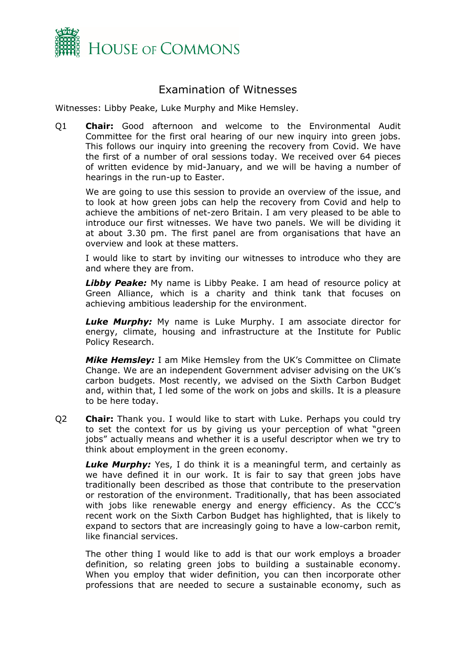

### Examination of Witnesses

Witnesses: Libby Peake, Luke Murphy and Mike Hemsley.

Q1 **Chair:** Good afternoon and welcome to the Environmental Audit Committee for the first oral hearing of our new inquiry into green jobs. This follows our inquiry into greening the recovery from Covid. We have the first of a number of oral sessions today. We received over 64 pieces of written evidence by mid-January, and we will be having a number of hearings in the run-up to Easter.

We are going to use this session to provide an overview of the issue, and to look at how green jobs can help the recovery from Covid and help to achieve the ambitions of net-zero Britain. I am very pleased to be able to introduce our first witnesses. We have two panels. We will be dividing it at about 3.30 pm. The first panel are from organisations that have an overview and look at these matters.

I would like to start by inviting our witnesses to introduce who they are and where they are from.

*Libby Peake:* My name is Libby Peake. I am head of resource policy at Green Alliance, which is a charity and think tank that focuses on achieving ambitious leadership for the environment.

*Luke Murphy:* My name is Luke Murphy. I am associate director for energy, climate, housing and infrastructure at the Institute for Public Policy Research.

*Mike Hemsley:* I am Mike Hemsley from the UK's Committee on Climate Change. We are an independent Government adviser advising on the UK's carbon budgets. Most recently, we advised on the Sixth Carbon Budget and, within that, I led some of the work on jobs and skills. It is a pleasure to be here today.

Q2 **Chair:** Thank you. I would like to start with Luke. Perhaps you could try to set the context for us by giving us your perception of what "green jobs" actually means and whether it is a useful descriptor when we try to think about employment in the green economy.

**Luke Murphy:** Yes, I do think it is a meaningful term, and certainly as we have defined it in our work. It is fair to say that green jobs have traditionally been described as those that contribute to the preservation or restoration of the environment. Traditionally, that has been associated with jobs like renewable energy and energy efficiency. As the CCC's recent work on the Sixth Carbon Budget has highlighted, that is likely to expand to sectors that are increasingly going to have a low-carbon remit, like financial services.

The other thing I would like to add is that our work employs a broader definition, so relating green jobs to building a sustainable economy. When you employ that wider definition, you can then incorporate other professions that are needed to secure a sustainable economy, such as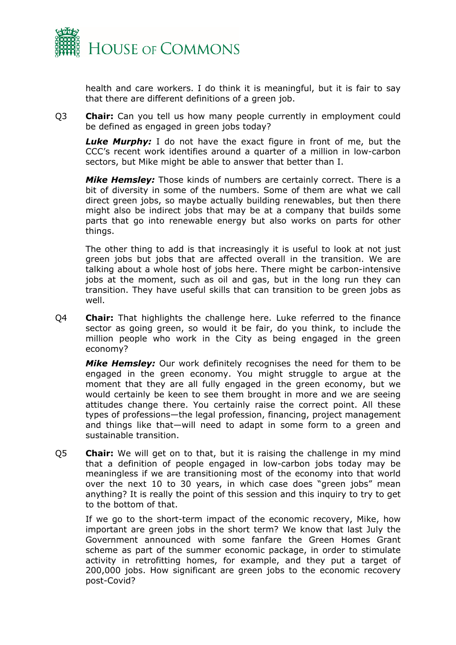

health and care workers. I do think it is meaningful, but it is fair to say that there are different definitions of a green job.

Q3 **Chair:** Can you tell us how many people currently in employment could be defined as engaged in green jobs today?

*Luke Murphy:* I do not have the exact figure in front of me, but the CCC's recent work identifies around a quarter of a million in low-carbon sectors, but Mike might be able to answer that better than I.

*Mike Hemsley:* Those kinds of numbers are certainly correct. There is a bit of diversity in some of the numbers. Some of them are what we call direct green jobs, so maybe actually building renewables, but then there might also be indirect jobs that may be at a company that builds some parts that go into renewable energy but also works on parts for other things.

The other thing to add is that increasingly it is useful to look at not just green jobs but jobs that are affected overall in the transition. We are talking about a whole host of jobs here. There might be carbon-intensive jobs at the moment, such as oil and gas, but in the long run they can transition. They have useful skills that can transition to be green jobs as well.

Q4 **Chair:** That highlights the challenge here. Luke referred to the finance sector as going green, so would it be fair, do you think, to include the million people who work in the City as being engaged in the green economy?

*Mike Hemsley:* Our work definitely recognises the need for them to be engaged in the green economy. You might struggle to argue at the moment that they are all fully engaged in the green economy, but we would certainly be keen to see them brought in more and we are seeing attitudes change there. You certainly raise the correct point. All these types of professions—the legal profession, financing, project management and things like that—will need to adapt in some form to a green and sustainable transition.

Q5 **Chair:** We will get on to that, but it is raising the challenge in my mind that a definition of people engaged in low-carbon jobs today may be meaningless if we are transitioning most of the economy into that world over the next 10 to 30 years, in which case does "green jobs" mean anything? It is really the point of this session and this inquiry to try to get to the bottom of that.

If we go to the short-term impact of the economic recovery, Mike, how important are green jobs in the short term? We know that last July the Government announced with some fanfare the Green Homes Grant scheme as part of the summer economic package, in order to stimulate activity in retrofitting homes, for example, and they put a target of 200,000 jobs. How significant are green jobs to the economic recovery post-Covid?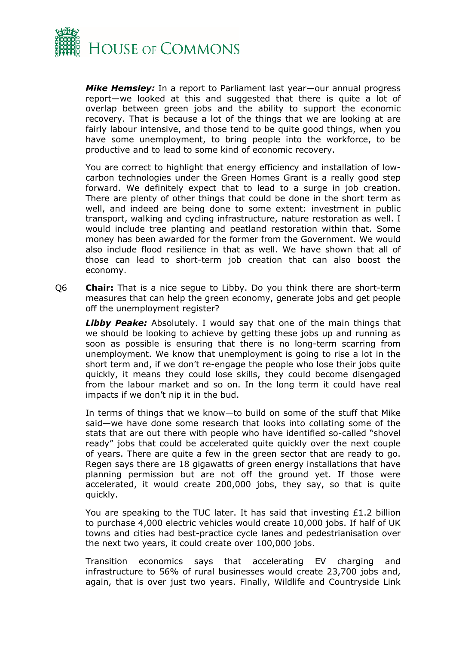

*Mike Hemsley:* In a report to Parliament last year—our annual progress report—we looked at this and suggested that there is quite a lot of overlap between green jobs and the ability to support the economic recovery. That is because a lot of the things that we are looking at are fairly labour intensive, and those tend to be quite good things, when you have some unemployment, to bring people into the workforce, to be productive and to lead to some kind of economic recovery.

You are correct to highlight that energy efficiency and installation of lowcarbon technologies under the Green Homes Grant is a really good step forward. We definitely expect that to lead to a surge in job creation. There are plenty of other things that could be done in the short term as well, and indeed are being done to some extent: investment in public transport, walking and cycling infrastructure, nature restoration as well. I would include tree planting and peatland restoration within that. Some money has been awarded for the former from the Government. We would also include flood resilience in that as well. We have shown that all of those can lead to short-term job creation that can also boost the economy.

Q6 **Chair:** That is a nice segue to Libby. Do you think there are short-term measures that can help the green economy, generate jobs and get people off the unemployment register?

*Libby Peake:* Absolutely. I would say that one of the main things that we should be looking to achieve by getting these jobs up and running as soon as possible is ensuring that there is no long-term scarring from unemployment. We know that unemployment is going to rise a lot in the short term and, if we don't re-engage the people who lose their jobs quite quickly, it means they could lose skills, they could become disengaged from the labour market and so on. In the long term it could have real impacts if we don't nip it in the bud.

In terms of things that we know—to build on some of the stuff that Mike said—we have done some research that looks into collating some of the stats that are out there with people who have identified so-called "shovel ready" jobs that could be accelerated quite quickly over the next couple of years. There are quite a few in the green sector that are ready to go. Regen says there are 18 gigawatts of green energy installations that have planning permission but are not off the ground yet. If those were accelerated, it would create 200,000 jobs, they say, so that is quite quickly.

You are speaking to the TUC later. It has said that investing £1.2 billion to purchase 4,000 electric vehicles would create 10,000 jobs. If half of UK towns and cities had best-practice cycle lanes and pedestrianisation over the next two years, it could create over 100,000 jobs.

Transition economics says that accelerating EV charging and infrastructure to 56% of rural businesses would create 23,700 jobs and, again, that is over just two years. Finally, Wildlife and Countryside Link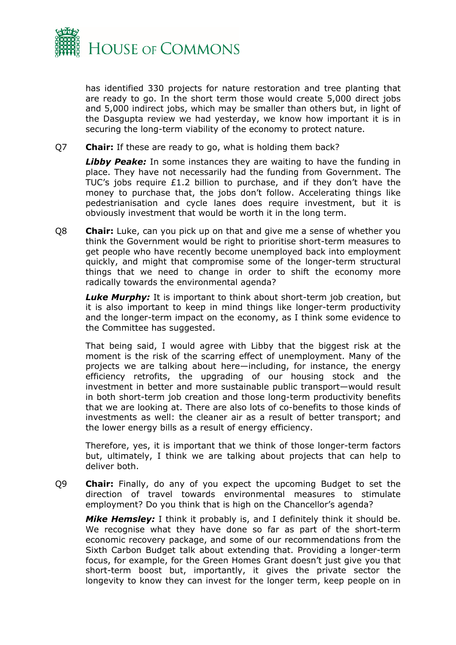

has identified 330 projects for nature restoration and tree planting that are ready to go. In the short term those would create 5,000 direct jobs and 5,000 indirect jobs, which may be smaller than others but, in light of the Dasgupta review we had yesterday, we know how important it is in securing the long-term viability of the economy to protect nature.

Q7 **Chair:** If these are ready to go, what is holding them back?

**Libby Peake:** In some instances they are waiting to have the funding in place. They have not necessarily had the funding from Government. The TUC's jobs require £1.2 billion to purchase, and if they don't have the money to purchase that, the jobs don't follow. Accelerating things like pedestrianisation and cycle lanes does require investment, but it is obviously investment that would be worth it in the long term.

Q8 **Chair:** Luke, can you pick up on that and give me a sense of whether you think the Government would be right to prioritise short-term measures to get people who have recently become unemployed back into employment quickly, and might that compromise some of the longer-term structural things that we need to change in order to shift the economy more radically towards the environmental agenda?

*Luke Murphy:* It is important to think about short-term job creation, but it is also important to keep in mind things like longer-term productivity and the longer-term impact on the economy, as I think some evidence to the Committee has suggested.

That being said, I would agree with Libby that the biggest risk at the moment is the risk of the scarring effect of unemployment. Many of the projects we are talking about here—including, for instance, the energy efficiency retrofits, the upgrading of our housing stock and the investment in better and more sustainable public transport—would result in both short-term job creation and those long-term productivity benefits that we are looking at. There are also lots of co-benefits to those kinds of investments as well: the cleaner air as a result of better transport; and the lower energy bills as a result of energy efficiency.

Therefore, yes, it is important that we think of those longer-term factors but, ultimately, I think we are talking about projects that can help to deliver both.

Q9 **Chair:** Finally, do any of you expect the upcoming Budget to set the direction of travel towards environmental measures to stimulate employment? Do you think that is high on the Chancellor's agenda?

*Mike Hemsley:* I think it probably is, and I definitely think it should be. We recognise what they have done so far as part of the short-term economic recovery package, and some of our recommendations from the Sixth Carbon Budget talk about extending that. Providing a longer-term focus, for example, for the Green Homes Grant doesn't just give you that short-term boost but, importantly, it gives the private sector the longevity to know they can invest for the longer term, keep people on in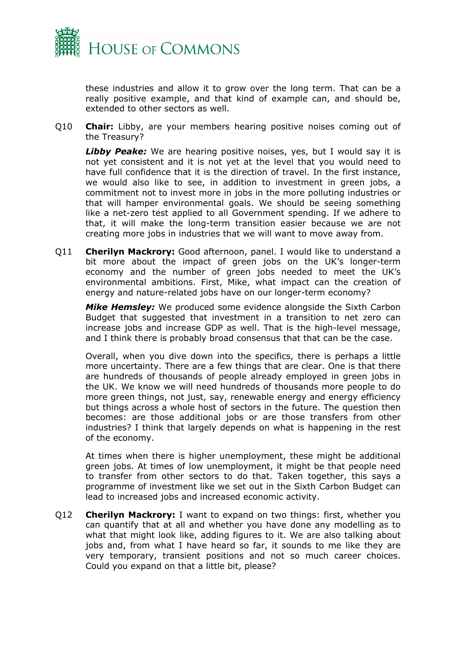

these industries and allow it to grow over the long term. That can be a really positive example, and that kind of example can, and should be, extended to other sectors as well.

Q10 **Chair:** Libby, are your members hearing positive noises coming out of the Treasury?

**Libby Peake:** We are hearing positive noises, yes, but I would say it is not yet consistent and it is not yet at the level that you would need to have full confidence that it is the direction of travel. In the first instance, we would also like to see, in addition to investment in green jobs, a commitment not to invest more in jobs in the more polluting industries or that will hamper environmental goals. We should be seeing something like a net-zero test applied to all Government spending. If we adhere to that, it will make the long-term transition easier because we are not creating more jobs in industries that we will want to move away from.

Q11 **Cherilyn Mackrory:** Good afternoon, panel. I would like to understand a bit more about the impact of green jobs on the UK's longer-term economy and the number of green jobs needed to meet the UK's environmental ambitions. First, Mike, what impact can the creation of energy and nature-related jobs have on our longer-term economy?

*Mike Hemsley:* We produced some evidence alongside the Sixth Carbon Budget that suggested that investment in a transition to net zero can increase jobs and increase GDP as well. That is the high-level message, and I think there is probably broad consensus that that can be the case.

Overall, when you dive down into the specifics, there is perhaps a little more uncertainty. There are a few things that are clear. One is that there are hundreds of thousands of people already employed in green jobs in the UK. We know we will need hundreds of thousands more people to do more green things, not just, say, renewable energy and energy efficiency but things across a whole host of sectors in the future. The question then becomes: are those additional jobs or are those transfers from other industries? I think that largely depends on what is happening in the rest of the economy.

At times when there is higher unemployment, these might be additional green jobs. At times of low unemployment, it might be that people need to transfer from other sectors to do that. Taken together, this says a programme of investment like we set out in the Sixth Carbon Budget can lead to increased jobs and increased economic activity.

Q12 **Cherilyn Mackrory:** I want to expand on two things: first, whether you can quantify that at all and whether you have done any modelling as to what that might look like, adding figures to it. We are also talking about jobs and, from what I have heard so far, it sounds to me like they are very temporary, transient positions and not so much career choices. Could you expand on that a little bit, please?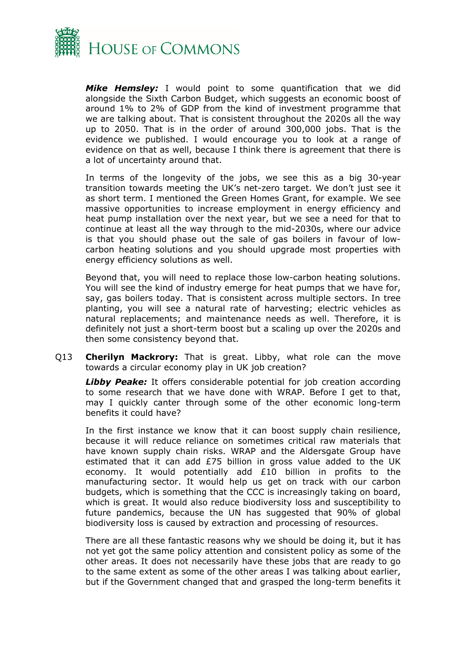

*Mike Hemsley:* I would point to some quantification that we did alongside the Sixth Carbon Budget, which suggests an economic boost of around 1% to 2% of GDP from the kind of investment programme that we are talking about. That is consistent throughout the 2020s all the way up to 2050. That is in the order of around 300,000 jobs. That is the evidence we published. I would encourage you to look at a range of evidence on that as well, because I think there is agreement that there is a lot of uncertainty around that.

In terms of the longevity of the jobs, we see this as a big 30-year transition towards meeting the UK's net-zero target. We don't just see it as short term. I mentioned the Green Homes Grant, for example. We see massive opportunities to increase employment in energy efficiency and heat pump installation over the next year, but we see a need for that to continue at least all the way through to the mid-2030s, where our advice is that you should phase out the sale of gas boilers in favour of lowcarbon heating solutions and you should upgrade most properties with energy efficiency solutions as well.

Beyond that, you will need to replace those low-carbon heating solutions. You will see the kind of industry emerge for heat pumps that we have for, say, gas boilers today. That is consistent across multiple sectors. In tree planting, you will see a natural rate of harvesting; electric vehicles as natural replacements; and maintenance needs as well. Therefore, it is definitely not just a short-term boost but a scaling up over the 2020s and then some consistency beyond that.

Q13 **Cherilyn Mackrory:** That is great. Libby, what role can the move towards a circular economy play in UK job creation?

**Libby Peake:** It offers considerable potential for job creation according to some research that we have done with WRAP. Before I get to that, may I quickly canter through some of the other economic long-term benefits it could have?

In the first instance we know that it can boost supply chain resilience, because it will reduce reliance on sometimes critical raw materials that have known supply chain risks. WRAP and the Aldersgate Group have estimated that it can add £75 billion in gross value added to the UK economy. It would potentially add £10 billion in profits to the manufacturing sector. It would help us get on track with our carbon budgets, which is something that the CCC is increasingly taking on board, which is great. It would also reduce biodiversity loss and susceptibility to future pandemics, because the UN has suggested that 90% of global biodiversity loss is caused by extraction and processing of resources.

There are all these fantastic reasons why we should be doing it, but it has not yet got the same policy attention and consistent policy as some of the other areas. It does not necessarily have these jobs that are ready to go to the same extent as some of the other areas I was talking about earlier, but if the Government changed that and grasped the long-term benefits it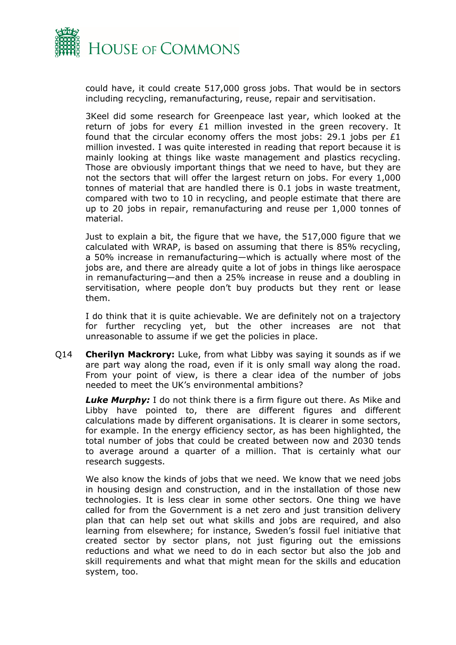

could have, it could create 517,000 gross jobs. That would be in sectors including recycling, remanufacturing, reuse, repair and servitisation.

3Keel did some research for Greenpeace last year, which looked at the return of jobs for every £1 million invested in the green recovery. It found that the circular economy offers the most jobs: 29.1 jobs per  $£1$ million invested. I was quite interested in reading that report because it is mainly looking at things like waste management and plastics recycling. Those are obviously important things that we need to have, but they are not the sectors that will offer the largest return on jobs. For every 1,000 tonnes of material that are handled there is 0.1 jobs in waste treatment, compared with two to 10 in recycling, and people estimate that there are up to 20 jobs in repair, remanufacturing and reuse per 1,000 tonnes of material.

Just to explain a bit, the figure that we have, the 517,000 figure that we calculated with WRAP, is based on assuming that there is 85% recycling, a 50% increase in remanufacturing—which is actually where most of the jobs are, and there are already quite a lot of jobs in things like aerospace in remanufacturing—and then a 25% increase in reuse and a doubling in servitisation, where people don't buy products but they rent or lease them.

I do think that it is quite achievable. We are definitely not on a trajectory for further recycling yet, but the other increases are not that unreasonable to assume if we get the policies in place.

Q14 **Cherilyn Mackrory:** Luke, from what Libby was saying it sounds as if we are part way along the road, even if it is only small way along the road. From your point of view, is there a clear idea of the number of jobs needed to meet the UK's environmental ambitions?

*Luke Murphy:* I do not think there is a firm figure out there. As Mike and Libby have pointed to, there are different figures and different calculations made by different organisations. It is clearer in some sectors, for example. In the energy efficiency sector, as has been highlighted, the total number of jobs that could be created between now and 2030 tends to average around a quarter of a million. That is certainly what our research suggests.

We also know the kinds of jobs that we need. We know that we need jobs in housing design and construction, and in the installation of those new technologies. It is less clear in some other sectors. One thing we have called for from the Government is a net zero and just transition delivery plan that can help set out what skills and jobs are required, and also learning from elsewhere; for instance, Sweden's fossil fuel initiative that created sector by sector plans, not just figuring out the emissions reductions and what we need to do in each sector but also the job and skill requirements and what that might mean for the skills and education system, too.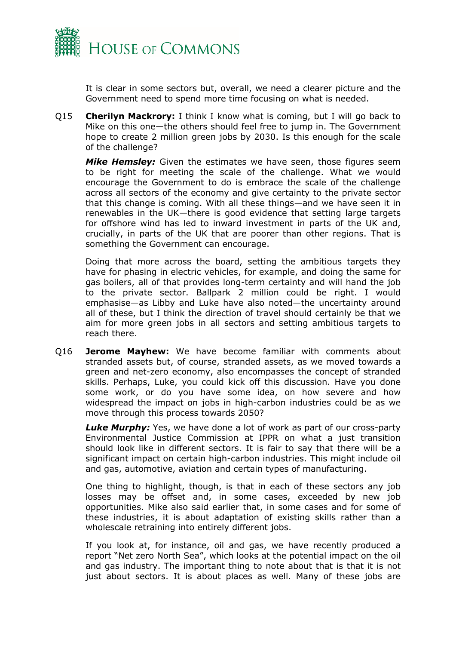

It is clear in some sectors but, overall, we need a clearer picture and the Government need to spend more time focusing on what is needed.

Q15 **Cherilyn Mackrory:** I think I know what is coming, but I will go back to Mike on this one—the others should feel free to jump in. The Government hope to create 2 million green jobs by 2030. Is this enough for the scale of the challenge?

*Mike Hemsley:* Given the estimates we have seen, those figures seem to be right for meeting the scale of the challenge. What we would encourage the Government to do is embrace the scale of the challenge across all sectors of the economy and give certainty to the private sector that this change is coming. With all these things—and we have seen it in renewables in the UK—there is good evidence that setting large targets for offshore wind has led to inward investment in parts of the UK and, crucially, in parts of the UK that are poorer than other regions. That is something the Government can encourage.

Doing that more across the board, setting the ambitious targets they have for phasing in electric vehicles, for example, and doing the same for gas boilers, all of that provides long-term certainty and will hand the job to the private sector. Ballpark 2 million could be right. I would emphasise—as Libby and Luke have also noted—the uncertainty around all of these, but I think the direction of travel should certainly be that we aim for more green jobs in all sectors and setting ambitious targets to reach there.

Q16 **Jerome Mayhew:** We have become familiar with comments about stranded assets but, of course, stranded assets, as we moved towards a green and net-zero economy, also encompasses the concept of stranded skills. Perhaps, Luke, you could kick off this discussion. Have you done some work, or do you have some idea, on how severe and how widespread the impact on jobs in high-carbon industries could be as we move through this process towards 2050?

*Luke Murphy:* Yes, we have done a lot of work as part of our cross-party Environmental Justice Commission at IPPR on what a just transition should look like in different sectors. It is fair to say that there will be a significant impact on certain high-carbon industries. This might include oil and gas, automotive, aviation and certain types of manufacturing.

One thing to highlight, though, is that in each of these sectors any job losses may be offset and, in some cases, exceeded by new job opportunities. Mike also said earlier that, in some cases and for some of these industries, it is about adaptation of existing skills rather than a wholescale retraining into entirely different jobs.

If you look at, for instance, oil and gas, we have recently produced a report "Net zero North Sea", which looks at the potential impact on the oil and gas industry. The important thing to note about that is that it is not just about sectors. It is about places as well. Many of these jobs are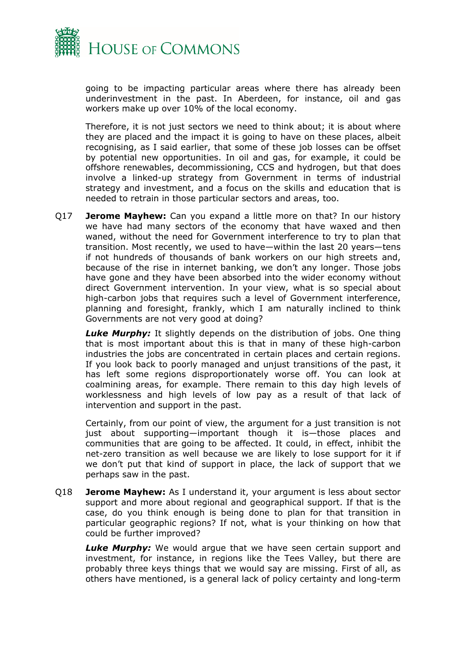

going to be impacting particular areas where there has already been underinvestment in the past. In Aberdeen, for instance, oil and gas workers make up over 10% of the local economy.

Therefore, it is not just sectors we need to think about; it is about where they are placed and the impact it is going to have on these places, albeit recognising, as I said earlier, that some of these job losses can be offset by potential new opportunities. In oil and gas, for example, it could be offshore renewables, decommissioning, CCS and hydrogen, but that does involve a linked-up strategy from Government in terms of industrial strategy and investment, and a focus on the skills and education that is needed to retrain in those particular sectors and areas, too.

Q17 **Jerome Mayhew:** Can you expand a little more on that? In our history we have had many sectors of the economy that have waxed and then waned, without the need for Government interference to try to plan that transition. Most recently, we used to have—within the last 20 years—tens if not hundreds of thousands of bank workers on our high streets and, because of the rise in internet banking, we don't any longer. Those jobs have gone and they have been absorbed into the wider economy without direct Government intervention. In your view, what is so special about high-carbon jobs that requires such a level of Government interference, planning and foresight, frankly, which I am naturally inclined to think Governments are not very good at doing?

**Luke Murphy:** It slightly depends on the distribution of jobs. One thing that is most important about this is that in many of these high-carbon industries the jobs are concentrated in certain places and certain regions. If you look back to poorly managed and unjust transitions of the past, it has left some regions disproportionately worse off. You can look at coalmining areas, for example. There remain to this day high levels of worklessness and high levels of low pay as a result of that lack of intervention and support in the past.

Certainly, from our point of view, the argument for a just transition is not just about supporting—important though it is—those places and communities that are going to be affected. It could, in effect, inhibit the net-zero transition as well because we are likely to lose support for it if we don't put that kind of support in place, the lack of support that we perhaps saw in the past.

Q18 **Jerome Mayhew:** As I understand it, your argument is less about sector support and more about regional and geographical support. If that is the case, do you think enough is being done to plan for that transition in particular geographic regions? If not, what is your thinking on how that could be further improved?

*Luke Murphy:* We would argue that we have seen certain support and investment, for instance, in regions like the Tees Valley, but there are probably three keys things that we would say are missing. First of all, as others have mentioned, is a general lack of policy certainty and long-term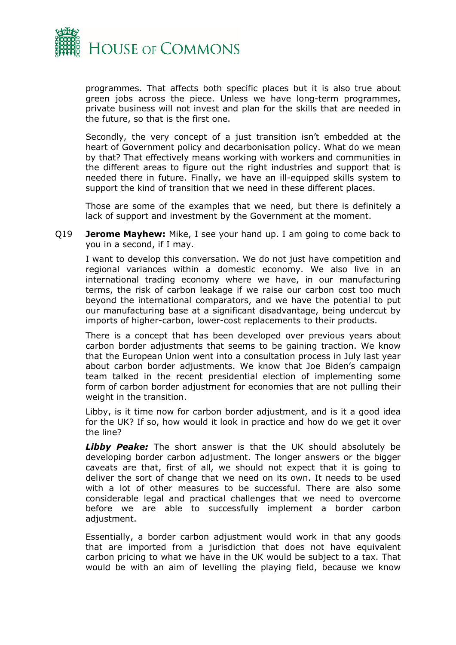

programmes. That affects both specific places but it is also true about green jobs across the piece. Unless we have long-term programmes, private business will not invest and plan for the skills that are needed in the future, so that is the first one.

Secondly, the very concept of a just transition isn't embedded at the heart of Government policy and decarbonisation policy. What do we mean by that? That effectively means working with workers and communities in the different areas to figure out the right industries and support that is needed there in future. Finally, we have an ill-equipped skills system to support the kind of transition that we need in these different places.

Those are some of the examples that we need, but there is definitely a lack of support and investment by the Government at the moment.

Q19 **Jerome Mayhew:** Mike, I see your hand up. I am going to come back to you in a second, if I may.

I want to develop this conversation. We do not just have competition and regional variances within a domestic economy. We also live in an international trading economy where we have, in our manufacturing terms, the risk of carbon leakage if we raise our carbon cost too much beyond the international comparators, and we have the potential to put our manufacturing base at a significant disadvantage, being undercut by imports of higher-carbon, lower-cost replacements to their products.

There is a concept that has been developed over previous years about carbon border adjustments that seems to be gaining traction. We know that the European Union went into a consultation process in July last year about carbon border adjustments. We know that Joe Biden's campaign team talked in the recent presidential election of implementing some form of carbon border adjustment for economies that are not pulling their weight in the transition.

Libby, is it time now for carbon border adjustment, and is it a good idea for the UK? If so, how would it look in practice and how do we get it over the line?

*Libby Peake:* The short answer is that the UK should absolutely be developing border carbon adjustment. The longer answers or the bigger caveats are that, first of all, we should not expect that it is going to deliver the sort of change that we need on its own. It needs to be used with a lot of other measures to be successful. There are also some considerable legal and practical challenges that we need to overcome before we are able to successfully implement a border carbon adjustment.

Essentially, a border carbon adjustment would work in that any goods that are imported from a jurisdiction that does not have equivalent carbon pricing to what we have in the UK would be subject to a tax. That would be with an aim of levelling the playing field, because we know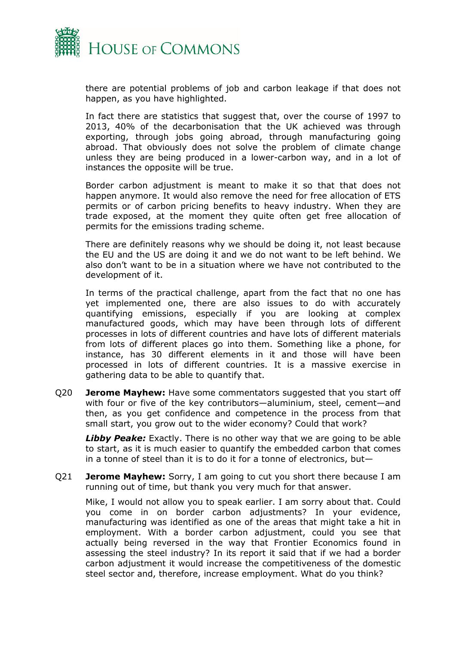

there are potential problems of job and carbon leakage if that does not happen, as you have highlighted.

In fact there are statistics that suggest that, over the course of 1997 to 2013, 40% of the decarbonisation that the UK achieved was through exporting, through jobs going abroad, through manufacturing going abroad. That obviously does not solve the problem of climate change unless they are being produced in a lower-carbon way, and in a lot of instances the opposite will be true.

Border carbon adjustment is meant to make it so that that does not happen anymore. It would also remove the need for free allocation of ETS permits or of carbon pricing benefits to heavy industry. When they are trade exposed, at the moment they quite often get free allocation of permits for the emissions trading scheme.

There are definitely reasons why we should be doing it, not least because the EU and the US are doing it and we do not want to be left behind. We also don't want to be in a situation where we have not contributed to the development of it.

In terms of the practical challenge, apart from the fact that no one has yet implemented one, there are also issues to do with accurately quantifying emissions, especially if you are looking at complex manufactured goods, which may have been through lots of different processes in lots of different countries and have lots of different materials from lots of different places go into them. Something like a phone, for instance, has 30 different elements in it and those will have been processed in lots of different countries. It is a massive exercise in gathering data to be able to quantify that.

Q20 **Jerome Mayhew:** Have some commentators suggested that you start off with four or five of the key contributors—aluminium, steel, cement—and then, as you get confidence and competence in the process from that small start, you grow out to the wider economy? Could that work?

*Libby Peake:* Exactly. There is no other way that we are going to be able to start, as it is much easier to quantify the embedded carbon that comes in a tonne of steel than it is to do it for a tonne of electronics, but—

Q21 **Jerome Mayhew:** Sorry, I am going to cut you short there because I am running out of time, but thank you very much for that answer.

Mike, I would not allow you to speak earlier. I am sorry about that. Could you come in on border carbon adjustments? In your evidence, manufacturing was identified as one of the areas that might take a hit in employment. With a border carbon adjustment, could you see that actually being reversed in the way that Frontier Economics found in assessing the steel industry? In its report it said that if we had a border carbon adjustment it would increase the competitiveness of the domestic steel sector and, therefore, increase employment. What do you think?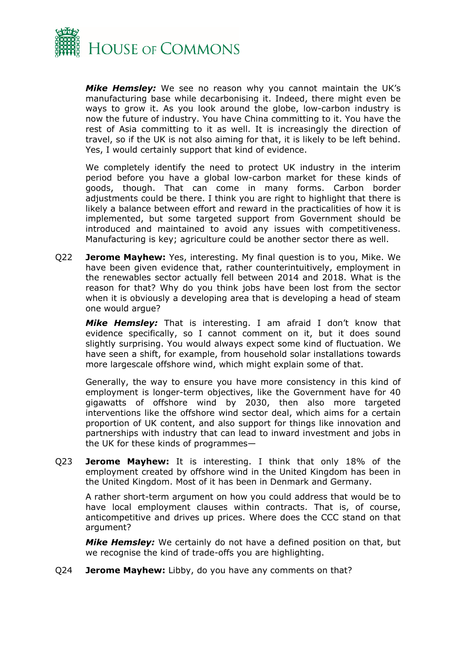

*Mike Hemsley:* We see no reason why you cannot maintain the UK's manufacturing base while decarbonising it. Indeed, there might even be ways to grow it. As you look around the globe, low-carbon industry is now the future of industry. You have China committing to it. You have the rest of Asia committing to it as well. It is increasingly the direction of travel, so if the UK is not also aiming for that, it is likely to be left behind. Yes, I would certainly support that kind of evidence.

We completely identify the need to protect UK industry in the interim period before you have a global low-carbon market for these kinds of goods, though. That can come in many forms. Carbon border adjustments could be there. I think you are right to highlight that there is likely a balance between effort and reward in the practicalities of how it is implemented, but some targeted support from Government should be introduced and maintained to avoid any issues with competitiveness. Manufacturing is key; agriculture could be another sector there as well.

Q22 **Jerome Mayhew:** Yes, interesting. My final question is to you, Mike. We have been given evidence that, rather counterintuitively, employment in the renewables sector actually fell between 2014 and 2018. What is the reason for that? Why do you think jobs have been lost from the sector when it is obviously a developing area that is developing a head of steam one would argue?

*Mike Hemsley:* That is interesting. I am afraid I don't know that evidence specifically, so I cannot comment on it, but it does sound slightly surprising. You would always expect some kind of fluctuation. We have seen a shift, for example, from household solar installations towards more largescale offshore wind, which might explain some of that.

Generally, the way to ensure you have more consistency in this kind of employment is longer-term objectives, like the Government have for 40 gigawatts of offshore wind by 2030, then also more targeted interventions like the offshore wind sector deal, which aims for a certain proportion of UK content, and also support for things like innovation and partnerships with industry that can lead to inward investment and jobs in the UK for these kinds of programmes—

Q23 **Jerome Mayhew:** It is interesting. I think that only 18% of the employment created by offshore wind in the United Kingdom has been in the United Kingdom. Most of it has been in Denmark and Germany.

A rather short-term argument on how you could address that would be to have local employment clauses within contracts. That is, of course, anticompetitive and drives up prices. Where does the CCC stand on that argument?

*Mike Hemsley:* We certainly do not have a defined position on that, but we recognise the kind of trade-offs you are highlighting.

Q24 **Jerome Mayhew:** Libby, do you have any comments on that?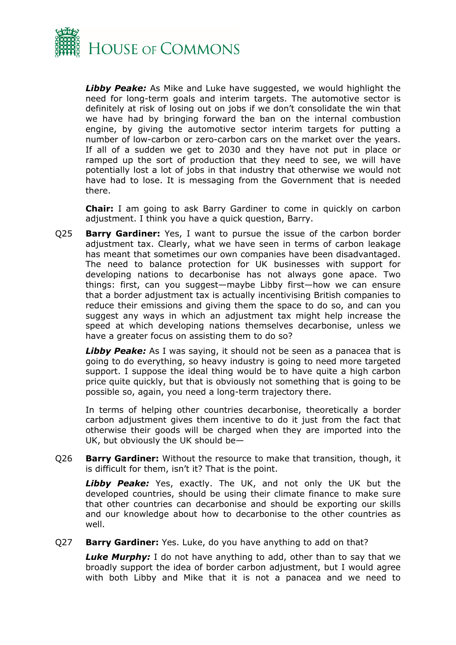

*Libby Peake:* As Mike and Luke have suggested, we would highlight the need for long-term goals and interim targets. The automotive sector is definitely at risk of losing out on jobs if we don't consolidate the win that we have had by bringing forward the ban on the internal combustion engine, by giving the automotive sector interim targets for putting a number of low-carbon or zero-carbon cars on the market over the years. If all of a sudden we get to 2030 and they have not put in place or ramped up the sort of production that they need to see, we will have potentially lost a lot of jobs in that industry that otherwise we would not have had to lose. It is messaging from the Government that is needed there.

**Chair:** I am going to ask Barry Gardiner to come in quickly on carbon adjustment. I think you have a quick question, Barry.

Q25 **Barry Gardiner:** Yes, I want to pursue the issue of the carbon border adjustment tax. Clearly, what we have seen in terms of carbon leakage has meant that sometimes our own companies have been disadvantaged. The need to balance protection for UK businesses with support for developing nations to decarbonise has not always gone apace. Two things: first, can you suggest—maybe Libby first—how we can ensure that a border adjustment tax is actually incentivising British companies to reduce their emissions and giving them the space to do so, and can you suggest any ways in which an adjustment tax might help increase the speed at which developing nations themselves decarbonise, unless we have a greater focus on assisting them to do so?

**Libby Peake:** As I was saying, it should not be seen as a panacea that is going to do everything, so heavy industry is going to need more targeted support. I suppose the ideal thing would be to have quite a high carbon price quite quickly, but that is obviously not something that is going to be possible so, again, you need a long-term trajectory there.

In terms of helping other countries decarbonise, theoretically a border carbon adjustment gives them incentive to do it just from the fact that otherwise their goods will be charged when they are imported into the UK, but obviously the UK should be—

Q26 **Barry Gardiner:** Without the resource to make that transition, though, it is difficult for them, isn't it? That is the point.

*Libby Peake:* Yes, exactly. The UK, and not only the UK but the developed countries, should be using their climate finance to make sure that other countries can decarbonise and should be exporting our skills and our knowledge about how to decarbonise to the other countries as well.

#### Q27 **Barry Gardiner:** Yes. Luke, do you have anything to add on that?

*Luke Murphy:* I do not have anything to add, other than to say that we broadly support the idea of border carbon adjustment, but I would agree with both Libby and Mike that it is not a panacea and we need to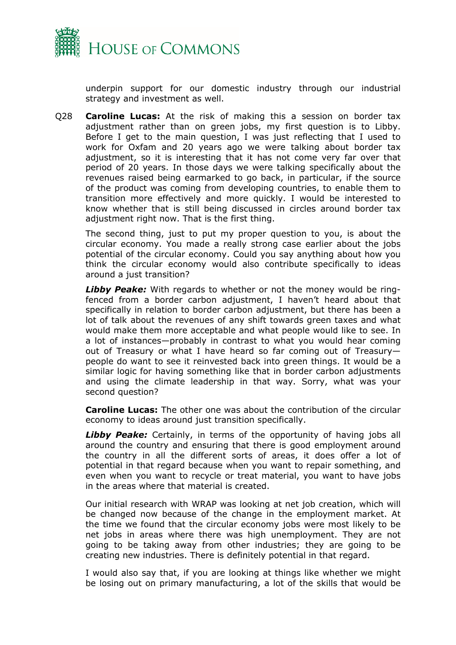

underpin support for our domestic industry through our industrial strategy and investment as well.

Q28 **Caroline Lucas:** At the risk of making this a session on border tax adjustment rather than on green jobs, my first question is to Libby. Before I get to the main question, I was just reflecting that I used to work for Oxfam and 20 years ago we were talking about border tax adjustment, so it is interesting that it has not come very far over that period of 20 years. In those days we were talking specifically about the revenues raised being earmarked to go back, in particular, if the source of the product was coming from developing countries, to enable them to transition more effectively and more quickly. I would be interested to know whether that is still being discussed in circles around border tax adiustment right now. That is the first thing.

The second thing, just to put my proper question to you, is about the circular economy. You made a really strong case earlier about the jobs potential of the circular economy. Could you say anything about how you think the circular economy would also contribute specifically to ideas around a just transition?

*Libby Peake:* With regards to whether or not the money would be ringfenced from a border carbon adjustment, I haven't heard about that specifically in relation to border carbon adjustment, but there has been a lot of talk about the revenues of any shift towards green taxes and what would make them more acceptable and what people would like to see. In a lot of instances—probably in contrast to what you would hear coming out of Treasury or what I have heard so far coming out of Treasury people do want to see it reinvested back into green things. It would be a similar logic for having something like that in border carbon adjustments and using the climate leadership in that way. Sorry, what was your second question?

**Caroline Lucas:** The other one was about the contribution of the circular economy to ideas around just transition specifically.

**Libby Peake:** Certainly, in terms of the opportunity of having jobs all around the country and ensuring that there is good employment around the country in all the different sorts of areas, it does offer a lot of potential in that regard because when you want to repair something, and even when you want to recycle or treat material, you want to have jobs in the areas where that material is created.

Our initial research with WRAP was looking at net job creation, which will be changed now because of the change in the employment market. At the time we found that the circular economy jobs were most likely to be net jobs in areas where there was high unemployment. They are not going to be taking away from other industries; they are going to be creating new industries. There is definitely potential in that regard.

I would also say that, if you are looking at things like whether we might be losing out on primary manufacturing, a lot of the skills that would be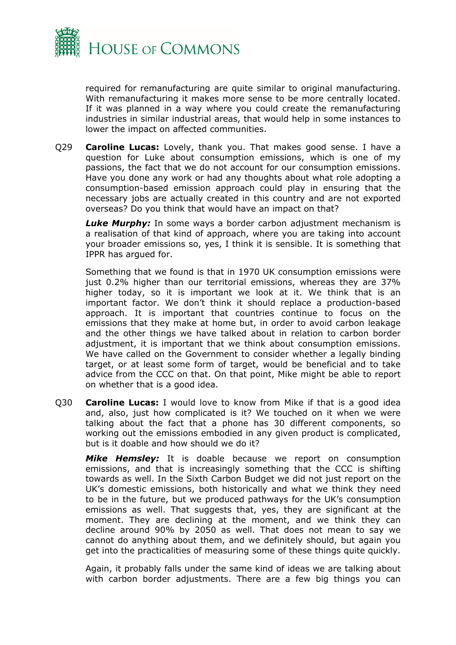

required for remanufacturing are quite similar to original manufacturing. With remanufacturing it makes more sense to be more centrally located. If it was planned in a way where you could create the remanufacturing industries in similar industrial areas, that would help in some instances to lower the impact on affected communities.

Q29 **Caroline Lucas:** Lovely, thank you. That makes good sense. I have a question for Luke about consumption emissions, which is one of my passions, the fact that we do not account for our consumption emissions. Have you done any work or had any thoughts about what role adopting a consumption-based emission approach could play in ensuring that the necessary jobs are actually created in this country and are not exported overseas? Do you think that would have an impact on that?

*Luke Murphy:* In some ways a border carbon adjustment mechanism is a realisation of that kind of approach, where you are taking into account your broader emissions so, yes, I think it is sensible. It is something that IPPR has argued for.

Something that we found is that in 1970 UK consumption emissions were just 0.2% higher than our territorial emissions, whereas they are 37% higher today, so it is important we look at it. We think that is an important factor. We don't think it should replace a production-based approach. It is important that countries continue to focus on the emissions that they make at home but, in order to avoid carbon leakage and the other things we have talked about in relation to carbon border adjustment, it is important that we think about consumption emissions. We have called on the Government to consider whether a legally binding target, or at least some form of target, would be beneficial and to take advice from the CCC on that. On that point, Mike might be able to report on whether that is a good idea.

Q30 **Caroline Lucas:** I would love to know from Mike if that is a good idea and, also, just how complicated is it? We touched on it when we were talking about the fact that a phone has 30 different components, so working out the emissions embodied in any given product is complicated, but is it doable and how should we do it?

*Mike Hemsley:* It is doable because we report on consumption emissions, and that is increasingly something that the CCC is shifting towards as well. In the Sixth Carbon Budget we did not just report on the UK's domestic emissions, both historically and what we think they need to be in the future, but we produced pathways for the UK's consumption emissions as well. That suggests that, yes, they are significant at the moment. They are declining at the moment, and we think they can decline around 90% by 2050 as well. That does not mean to say we cannot do anything about them, and we definitely should, but again you get into the practicalities of measuring some of these things quite quickly.

Again, it probably falls under the same kind of ideas we are talking about with carbon border adjustments. There are a few big things you can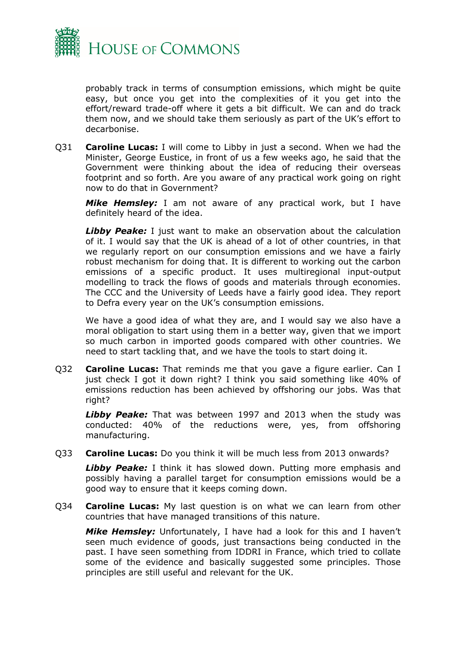

probably track in terms of consumption emissions, which might be quite easy, but once you get into the complexities of it you get into the effort/reward trade-off where it gets a bit difficult. We can and do track them now, and we should take them seriously as part of the UK's effort to decarbonise.

Q31 **Caroline Lucas:** I will come to Libby in just a second. When we had the Minister, George Eustice, in front of us a few weeks ago, he said that the Government were thinking about the idea of reducing their overseas footprint and so forth. Are you aware of any practical work going on right now to do that in Government?

*Mike Hemsley:* I am not aware of any practical work, but I have definitely heard of the idea.

**Libby Peake:** I just want to make an observation about the calculation of it. I would say that the UK is ahead of a lot of other countries, in that we regularly report on our consumption emissions and we have a fairly robust mechanism for doing that. It is different to working out the carbon emissions of a specific product. It uses multiregional input-output modelling to track the flows of goods and materials through economies. The CCC and the University of Leeds have a fairly good idea. They report to Defra every year on the UK's consumption emissions.

We have a good idea of what they are, and I would say we also have a moral obligation to start using them in a better way, given that we import so much carbon in imported goods compared with other countries. We need to start tackling that, and we have the tools to start doing it.

Q32 **Caroline Lucas:** That reminds me that you gave a figure earlier. Can I just check I got it down right? I think you said something like 40% of emissions reduction has been achieved by offshoring our jobs. Was that right?

*Libby Peake:* That was between 1997 and 2013 when the study was conducted: 40% of the reductions were, yes, from offshoring manufacturing.

Q33 **Caroline Lucas:** Do you think it will be much less from 2013 onwards?

*Libby Peake:* I think it has slowed down. Putting more emphasis and possibly having a parallel target for consumption emissions would be a good way to ensure that it keeps coming down.

Q34 **Caroline Lucas:** My last question is on what we can learn from other countries that have managed transitions of this nature.

*Mike Hemsley:* Unfortunately, I have had a look for this and I haven't seen much evidence of goods, just transactions being conducted in the past. I have seen something from IDDRI in France, which tried to collate some of the evidence and basically suggested some principles. Those principles are still useful and relevant for the UK.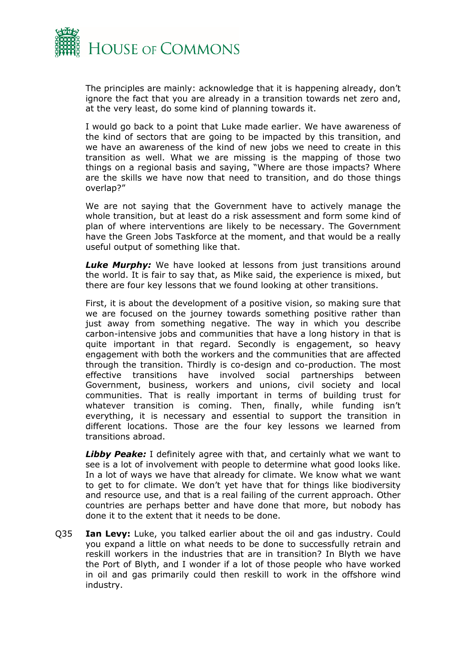

The principles are mainly: acknowledge that it is happening already, don't ignore the fact that you are already in a transition towards net zero and, at the very least, do some kind of planning towards it.

I would go back to a point that Luke made earlier. We have awareness of the kind of sectors that are going to be impacted by this transition, and we have an awareness of the kind of new jobs we need to create in this transition as well. What we are missing is the mapping of those two things on a regional basis and saying, "Where are those impacts? Where are the skills we have now that need to transition, and do those things overlap?"

We are not saying that the Government have to actively manage the whole transition, but at least do a risk assessment and form some kind of plan of where interventions are likely to be necessary. The Government have the Green Jobs Taskforce at the moment, and that would be a really useful output of something like that.

**Luke Murphy:** We have looked at lessons from just transitions around the world. It is fair to say that, as Mike said, the experience is mixed, but there are four key lessons that we found looking at other transitions.

First, it is about the development of a positive vision, so making sure that we are focused on the journey towards something positive rather than just away from something negative. The way in which you describe carbon-intensive jobs and communities that have a long history in that is quite important in that regard. Secondly is engagement, so heavy engagement with both the workers and the communities that are affected through the transition. Thirdly is co-design and co-production. The most effective transitions have involved social partnerships between Government, business, workers and unions, civil society and local communities. That is really important in terms of building trust for whatever transition is coming. Then, finally, while funding isn't everything, it is necessary and essential to support the transition in different locations. Those are the four key lessons we learned from transitions abroad.

*Libby Peake:* I definitely agree with that, and certainly what we want to see is a lot of involvement with people to determine what good looks like. In a lot of ways we have that already for climate. We know what we want to get to for climate. We don't yet have that for things like biodiversity and resource use, and that is a real failing of the current approach. Other countries are perhaps better and have done that more, but nobody has done it to the extent that it needs to be done.

Q35 **Ian Levy:** Luke, you talked earlier about the oil and gas industry. Could you expand a little on what needs to be done to successfully retrain and reskill workers in the industries that are in transition? In Blyth we have the Port of Blyth, and I wonder if a lot of those people who have worked in oil and gas primarily could then reskill to work in the offshore wind industry.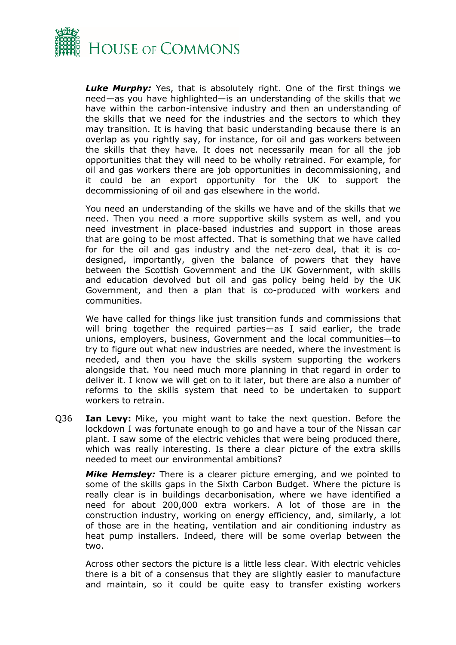

*Luke Murphy:* Yes, that is absolutely right. One of the first things we need—as you have highlighted—is an understanding of the skills that we have within the carbon-intensive industry and then an understanding of the skills that we need for the industries and the sectors to which they may transition. It is having that basic understanding because there is an overlap as you rightly say, for instance, for oil and gas workers between the skills that they have. It does not necessarily mean for all the job opportunities that they will need to be wholly retrained. For example, for oil and gas workers there are job opportunities in decommissioning, and it could be an export opportunity for the UK to support the decommissioning of oil and gas elsewhere in the world.

You need an understanding of the skills we have and of the skills that we need. Then you need a more supportive skills system as well, and you need investment in place-based industries and support in those areas that are going to be most affected. That is something that we have called for for the oil and gas industry and the net-zero deal, that it is codesigned, importantly, given the balance of powers that they have between the Scottish Government and the UK Government, with skills and education devolved but oil and gas policy being held by the UK Government, and then a plan that is co-produced with workers and communities.

We have called for things like just transition funds and commissions that will bring together the required parties—as I said earlier, the trade unions, employers, business, Government and the local communities—to try to figure out what new industries are needed, where the investment is needed, and then you have the skills system supporting the workers alongside that. You need much more planning in that regard in order to deliver it. I know we will get on to it later, but there are also a number of reforms to the skills system that need to be undertaken to support workers to retrain.

Q36 **Ian Levy:** Mike, you might want to take the next question. Before the lockdown I was fortunate enough to go and have a tour of the Nissan car plant. I saw some of the electric vehicles that were being produced there, which was really interesting. Is there a clear picture of the extra skills needed to meet our environmental ambitions?

*Mike Hemsley:* There is a clearer picture emerging, and we pointed to some of the skills gaps in the Sixth Carbon Budget. Where the picture is really clear is in buildings decarbonisation, where we have identified a need for about 200,000 extra workers. A lot of those are in the construction industry, working on energy efficiency, and, similarly, a lot of those are in the heating, ventilation and air conditioning industry as heat pump installers. Indeed, there will be some overlap between the two.

Across other sectors the picture is a little less clear. With electric vehicles there is a bit of a consensus that they are slightly easier to manufacture and maintain, so it could be quite easy to transfer existing workers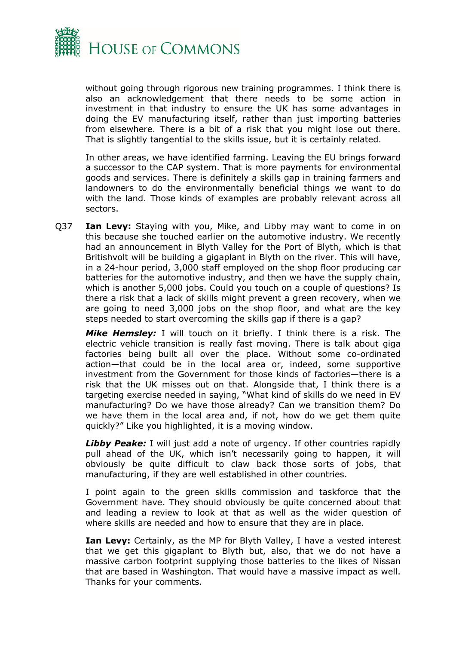

without going through rigorous new training programmes. I think there is also an acknowledgement that there needs to be some action in investment in that industry to ensure the UK has some advantages in doing the EV manufacturing itself, rather than just importing batteries from elsewhere. There is a bit of a risk that you might lose out there. That is slightly tangential to the skills issue, but it is certainly related.

In other areas, we have identified farming. Leaving the EU brings forward a successor to the CAP system. That is more payments for environmental goods and services. There is definitely a skills gap in training farmers and landowners to do the environmentally beneficial things we want to do with the land. Those kinds of examples are probably relevant across all sectors.

Q37 **Ian Levy:** Staying with you, Mike, and Libby may want to come in on this because she touched earlier on the automotive industry. We recently had an announcement in Blyth Valley for the Port of Blyth, which is that Britishvolt will be building a gigaplant in Blyth on the river. This will have, in a 24-hour period, 3,000 staff employed on the shop floor producing car batteries for the automotive industry, and then we have the supply chain, which is another 5,000 jobs. Could you touch on a couple of questions? Is there a risk that a lack of skills might prevent a green recovery, when we are going to need 3,000 jobs on the shop floor, and what are the key steps needed to start overcoming the skills gap if there is a gap?

*Mike Hemsley:* I will touch on it briefly. I think there is a risk. The electric vehicle transition is really fast moving. There is talk about giga factories being built all over the place. Without some co-ordinated action—that could be in the local area or, indeed, some supportive investment from the Government for those kinds of factories—there is a risk that the UK misses out on that. Alongside that, I think there is a targeting exercise needed in saying, "What kind of skills do we need in EV manufacturing? Do we have those already? Can we transition them? Do we have them in the local area and, if not, how do we get them quite quickly?" Like you highlighted, it is a moving window.

*Libby Peake:* I will just add a note of urgency. If other countries rapidly pull ahead of the UK, which isn't necessarily going to happen, it will obviously be quite difficult to claw back those sorts of jobs, that manufacturing, if they are well established in other countries.

I point again to the green skills commission and taskforce that the Government have. They should obviously be quite concerned about that and leading a review to look at that as well as the wider question of where skills are needed and how to ensure that they are in place.

**Ian Levy:** Certainly, as the MP for Blyth Valley, I have a vested interest that we get this gigaplant to Blyth but, also, that we do not have a massive carbon footprint supplying those batteries to the likes of Nissan that are based in Washington. That would have a massive impact as well. Thanks for your comments.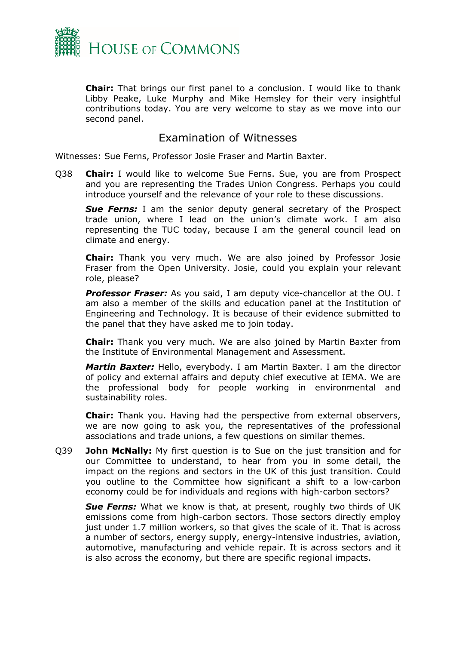

**Chair:** That brings our first panel to a conclusion. I would like to thank Libby Peake, Luke Murphy and Mike Hemsley for their very insightful contributions today. You are very welcome to stay as we move into our second panel.

#### Examination of Witnesses

<span id="page-20-0"></span>Witnesses: Sue Ferns, Professor Josie Fraser and Martin Baxter.

Q38 **Chair:** I would like to welcome Sue Ferns. Sue, you are from Prospect and you are representing the Trades Union Congress. Perhaps you could introduce yourself and the relevance of your role to these discussions.

**Sue Ferns:** I am the senior deputy general secretary of the Prospect trade union, where I lead on the union's climate work. I am also representing the TUC today, because I am the general council lead on climate and energy.

**Chair:** Thank you very much. We are also joined by Professor Josie Fraser from the Open University. Josie, could you explain your relevant role, please?

*Professor Fraser:* As you said, I am deputy vice-chancellor at the OU. I am also a member of the skills and education panel at the Institution of Engineering and Technology. It is because of their evidence submitted to the panel that they have asked me to join today.

**Chair:** Thank you very much. We are also joined by Martin Baxter from the Institute of Environmental Management and Assessment.

*Martin Baxter:* Hello, everybody. I am Martin Baxter. I am the director of policy and external affairs and deputy chief executive at IEMA. We are the professional body for people working in environmental and sustainability roles.

**Chair:** Thank you. Having had the perspective from external observers, we are now going to ask you, the representatives of the professional associations and trade unions, a few questions on similar themes.

Q39 **John McNally:** My first question is to Sue on the just transition and for our Committee to understand, to hear from you in some detail, the impact on the regions and sectors in the UK of this just transition. Could you outline to the Committee how significant a shift to a low-carbon economy could be for individuals and regions with high-carbon sectors?

*Sue Ferns:* What we know is that, at present, roughly two thirds of UK emissions come from high-carbon sectors. Those sectors directly employ just under 1.7 million workers, so that gives the scale of it. That is across a number of sectors, energy supply, energy-intensive industries, aviation, automotive, manufacturing and vehicle repair. It is across sectors and it is also across the economy, but there are specific regional impacts.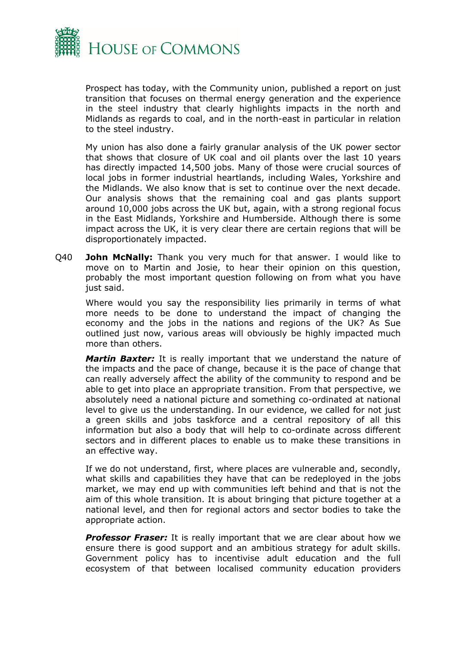

Prospect has today, with the Community union, published a report on just transition that focuses on thermal energy generation and the experience in the steel industry that clearly highlights impacts in the north and Midlands as regards to coal, and in the north-east in particular in relation to the steel industry.

My union has also done a fairly granular analysis of the UK power sector that shows that closure of UK coal and oil plants over the last 10 years has directly impacted 14,500 jobs. Many of those were crucial sources of local jobs in former industrial heartlands, including Wales, Yorkshire and the Midlands. We also know that is set to continue over the next decade. Our analysis shows that the remaining coal and gas plants support around 10,000 jobs across the UK but, again, with a strong regional focus in the East Midlands, Yorkshire and Humberside. Although there is some impact across the UK, it is very clear there are certain regions that will be disproportionately impacted.

Q40 **John McNally:** Thank you very much for that answer. I would like to move on to Martin and Josie, to hear their opinion on this question, probably the most important question following on from what you have just said.

Where would you say the responsibility lies primarily in terms of what more needs to be done to understand the impact of changing the economy and the jobs in the nations and regions of the UK? As Sue outlined just now, various areas will obviously be highly impacted much more than others.

*Martin Baxter:* It is really important that we understand the nature of the impacts and the pace of change, because it is the pace of change that can really adversely affect the ability of the community to respond and be able to get into place an appropriate transition. From that perspective, we absolutely need a national picture and something co-ordinated at national level to give us the understanding. In our evidence, we called for not just a green skills and jobs taskforce and a central repository of all this information but also a body that will help to co-ordinate across different sectors and in different places to enable us to make these transitions in an effective way.

If we do not understand, first, where places are vulnerable and, secondly, what skills and capabilities they have that can be redeployed in the jobs market, we may end up with communities left behind and that is not the aim of this whole transition. It is about bringing that picture together at a national level, and then for regional actors and sector bodies to take the appropriate action.

**Professor Fraser:** It is really important that we are clear about how we ensure there is good support and an ambitious strategy for adult skills. Government policy has to incentivise adult education and the full ecosystem of that between localised community education providers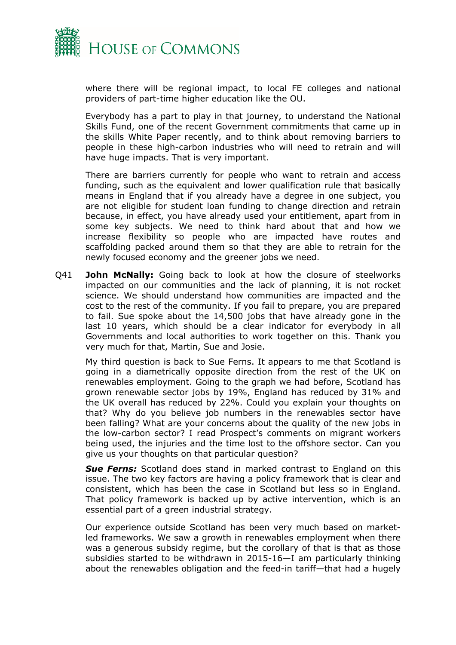

where there will be regional impact, to local FE colleges and national providers of part-time higher education like the OU.

Everybody has a part to play in that journey, to understand the National Skills Fund, one of the recent Government commitments that came up in the skills White Paper recently, and to think about removing barriers to people in these high-carbon industries who will need to retrain and will have huge impacts. That is very important.

There are barriers currently for people who want to retrain and access funding, such as the equivalent and lower qualification rule that basically means in England that if you already have a degree in one subject, you are not eligible for student loan funding to change direction and retrain because, in effect, you have already used your entitlement, apart from in some key subjects. We need to think hard about that and how we increase flexibility so people who are impacted have routes and scaffolding packed around them so that they are able to retrain for the newly focused economy and the greener jobs we need.

Q41 **John McNally:** Going back to look at how the closure of steelworks impacted on our communities and the lack of planning, it is not rocket science. We should understand how communities are impacted and the cost to the rest of the community. If you fail to prepare, you are prepared to fail. Sue spoke about the 14,500 jobs that have already gone in the last 10 years, which should be a clear indicator for everybody in all Governments and local authorities to work together on this. Thank you very much for that, Martin, Sue and Josie.

My third question is back to Sue Ferns. It appears to me that Scotland is going in a diametrically opposite direction from the rest of the UK on renewables employment. Going to the graph we had before, Scotland has grown renewable sector jobs by 19%, England has reduced by 31% and the UK overall has reduced by 22%. Could you explain your thoughts on that? Why do you believe job numbers in the renewables sector have been falling? What are your concerns about the quality of the new jobs in the low-carbon sector? I read Prospect's comments on migrant workers being used, the injuries and the time lost to the offshore sector. Can you give us your thoughts on that particular question?

**Sue Ferns:** Scotland does stand in marked contrast to England on this issue. The two key factors are having a policy framework that is clear and consistent, which has been the case in Scotland but less so in England. That policy framework is backed up by active intervention, which is an essential part of a green industrial strategy.

Our experience outside Scotland has been very much based on marketled frameworks. We saw a growth in renewables employment when there was a generous subsidy regime, but the corollary of that is that as those subsidies started to be withdrawn in 2015-16—I am particularly thinking about the renewables obligation and the feed-in tariff—that had a hugely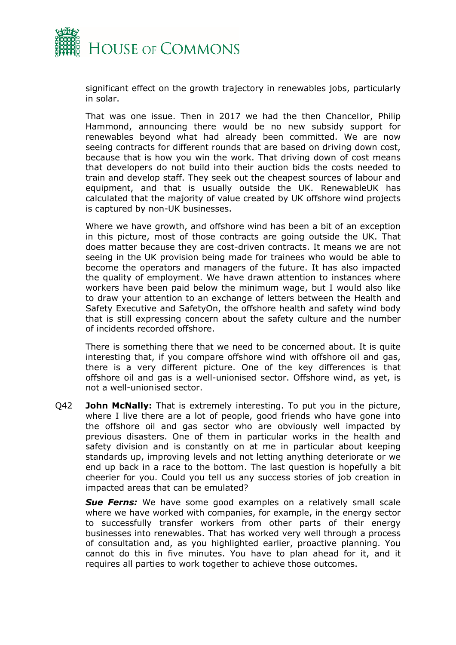

significant effect on the growth trajectory in renewables jobs, particularly in solar.

That was one issue. Then in 2017 we had the then Chancellor, Philip Hammond, announcing there would be no new subsidy support for renewables beyond what had already been committed. We are now seeing contracts for different rounds that are based on driving down cost, because that is how you win the work. That driving down of cost means that developers do not build into their auction bids the costs needed to train and develop staff. They seek out the cheapest sources of labour and equipment, and that is usually outside the UK. RenewableUK has calculated that the majority of value created by UK offshore wind projects is captured by non-UK businesses.

Where we have growth, and offshore wind has been a bit of an exception in this picture, most of those contracts are going outside the UK. That does matter because they are cost-driven contracts. It means we are not seeing in the UK provision being made for trainees who would be able to become the operators and managers of the future. It has also impacted the quality of employment. We have drawn attention to instances where workers have been paid below the minimum wage, but I would also like to draw your attention to an exchange of letters between the Health and Safety Executive and SafetyOn, the offshore health and safety wind body that is still expressing concern about the safety culture and the number of incidents recorded offshore.

There is something there that we need to be concerned about. It is quite interesting that, if you compare offshore wind with offshore oil and gas, there is a very different picture. One of the key differences is that offshore oil and gas is a well-unionised sector. Offshore wind, as yet, is not a well-unionised sector.

Q42 **John McNally:** That is extremely interesting. To put you in the picture, where I live there are a lot of people, good friends who have gone into the offshore oil and gas sector who are obviously well impacted by previous disasters. One of them in particular works in the health and safety division and is constantly on at me in particular about keeping standards up, improving levels and not letting anything deteriorate or we end up back in a race to the bottom. The last question is hopefully a bit cheerier for you. Could you tell us any success stories of job creation in impacted areas that can be emulated?

*Sue Ferns:* We have some good examples on a relatively small scale where we have worked with companies, for example, in the energy sector to successfully transfer workers from other parts of their energy businesses into renewables. That has worked very well through a process of consultation and, as you highlighted earlier, proactive planning. You cannot do this in five minutes. You have to plan ahead for it, and it requires all parties to work together to achieve those outcomes.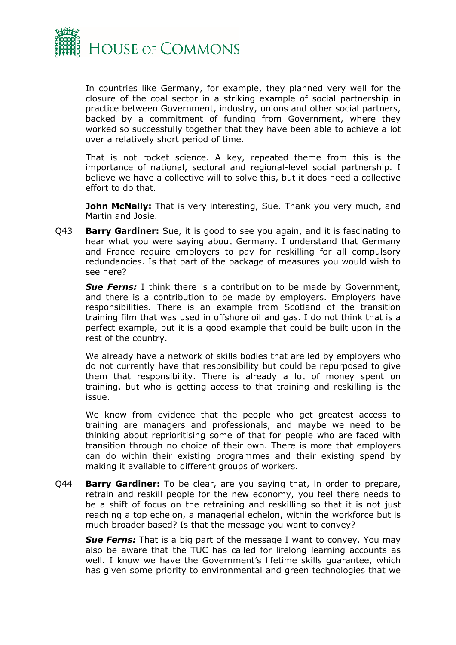

In countries like Germany, for example, they planned very well for the closure of the coal sector in a striking example of social partnership in practice between Government, industry, unions and other social partners, backed by a commitment of funding from Government, where they worked so successfully together that they have been able to achieve a lot over a relatively short period of time.

That is not rocket science. A key, repeated theme from this is the importance of national, sectoral and regional-level social partnership. I believe we have a collective will to solve this, but it does need a collective effort to do that.

**John McNally:** That is very interesting, Sue. Thank you very much, and Martin and Josie.

Q43 **Barry Gardiner:** Sue, it is good to see you again, and it is fascinating to hear what you were saying about Germany. I understand that Germany and France require employers to pay for reskilling for all compulsory redundancies. Is that part of the package of measures you would wish to see here?

**Sue Ferns:** I think there is a contribution to be made by Government, and there is a contribution to be made by employers. Employers have responsibilities. There is an example from Scotland of the transition training film that was used in offshore oil and gas. I do not think that is a perfect example, but it is a good example that could be built upon in the rest of the country.

We already have a network of skills bodies that are led by employers who do not currently have that responsibility but could be repurposed to give them that responsibility. There is already a lot of money spent on training, but who is getting access to that training and reskilling is the issue.

We know from evidence that the people who get greatest access to training are managers and professionals, and maybe we need to be thinking about reprioritising some of that for people who are faced with transition through no choice of their own. There is more that employers can do within their existing programmes and their existing spend by making it available to different groups of workers.

Q44 **Barry Gardiner:** To be clear, are you saying that, in order to prepare, retrain and reskill people for the new economy, you feel there needs to be a shift of focus on the retraining and reskilling so that it is not just reaching a top echelon, a managerial echelon, within the workforce but is much broader based? Is that the message you want to convey?

**Sue Ferns:** That is a big part of the message I want to convey. You may also be aware that the TUC has called for lifelong learning accounts as well. I know we have the Government's lifetime skills guarantee, which has given some priority to environmental and green technologies that we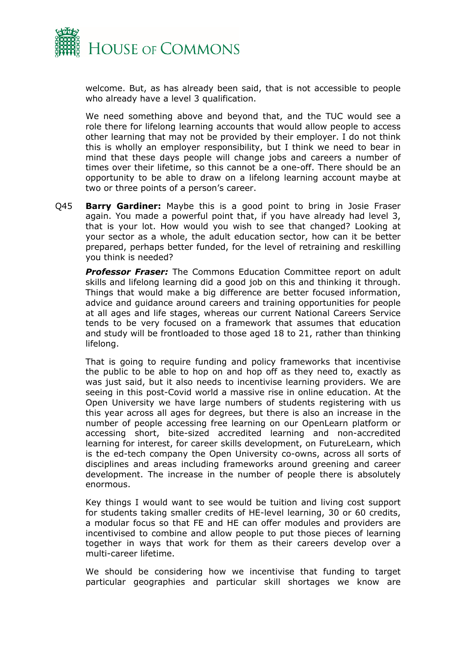

welcome. But, as has already been said, that is not accessible to people who already have a level 3 qualification.

We need something above and beyond that, and the TUC would see a role there for lifelong learning accounts that would allow people to access other learning that may not be provided by their employer. I do not think this is wholly an employer responsibility, but I think we need to bear in mind that these days people will change jobs and careers a number of times over their lifetime, so this cannot be a one-off. There should be an opportunity to be able to draw on a lifelong learning account maybe at two or three points of a person's career.

Q45 **Barry Gardiner:** Maybe this is a good point to bring in Josie Fraser again. You made a powerful point that, if you have already had level 3, that is your lot. How would you wish to see that changed? Looking at your sector as a whole, the adult education sector, how can it be better prepared, perhaps better funded, for the level of retraining and reskilling you think is needed?

*Professor Fraser:* The Commons Education Committee report on adult skills and lifelong learning did a good job on this and thinking it through. Things that would make a big difference are better focused information, advice and guidance around careers and training opportunities for people at all ages and life stages, whereas our current National Careers Service tends to be very focused on a framework that assumes that education and study will be frontloaded to those aged 18 to 21, rather than thinking lifelong.

That is going to require funding and policy frameworks that incentivise the public to be able to hop on and hop off as they need to, exactly as was just said, but it also needs to incentivise learning providers. We are seeing in this post-Covid world a massive rise in online education. At the Open University we have large numbers of students registering with us this year across all ages for degrees, but there is also an increase in the number of people accessing free learning on our OpenLearn platform or accessing short, bite-sized accredited learning and non-accredited learning for interest, for career skills development, on FutureLearn, which is the ed-tech company the Open University co-owns, across all sorts of disciplines and areas including frameworks around greening and career development. The increase in the number of people there is absolutely enormous.

Key things I would want to see would be tuition and living cost support for students taking smaller credits of HE-level learning, 30 or 60 credits, a modular focus so that FE and HE can offer modules and providers are incentivised to combine and allow people to put those pieces of learning together in ways that work for them as their careers develop over a multi-career lifetime.

We should be considering how we incentivise that funding to target particular geographies and particular skill shortages we know are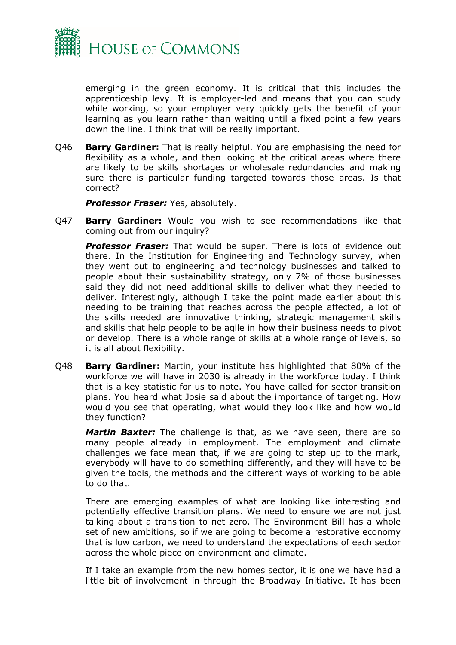

emerging in the green economy. It is critical that this includes the apprenticeship levy. It is employer-led and means that you can study while working, so your employer very quickly gets the benefit of your learning as you learn rather than waiting until a fixed point a few years down the line. I think that will be really important.

Q46 **Barry Gardiner:** That is really helpful. You are emphasising the need for flexibility as a whole, and then looking at the critical areas where there are likely to be skills shortages or wholesale redundancies and making sure there is particular funding targeted towards those areas. Is that correct?

*Professor Fraser:* Yes, absolutely.

Q47 **Barry Gardiner:** Would you wish to see recommendations like that coming out from our inquiry?

**Professor Fraser:** That would be super. There is lots of evidence out there. In the Institution for Engineering and Technology survey, when they went out to engineering and technology businesses and talked to people about their sustainability strategy, only 7% of those businesses said they did not need additional skills to deliver what they needed to deliver. Interestingly, although I take the point made earlier about this needing to be training that reaches across the people affected, a lot of the skills needed are innovative thinking, strategic management skills and skills that help people to be agile in how their business needs to pivot or develop. There is a whole range of skills at a whole range of levels, so it is all about flexibility.

Q48 **Barry Gardiner:** Martin, your institute has highlighted that 80% of the workforce we will have in 2030 is already in the workforce today. I think that is a key statistic for us to note. You have called for sector transition plans. You heard what Josie said about the importance of targeting. How would you see that operating, what would they look like and how would they function?

*Martin Baxter:* The challenge is that, as we have seen, there are so many people already in employment. The employment and climate challenges we face mean that, if we are going to step up to the mark, everybody will have to do something differently, and they will have to be given the tools, the methods and the different ways of working to be able to do that.

There are emerging examples of what are looking like interesting and potentially effective transition plans. We need to ensure we are not just talking about a transition to net zero. The Environment Bill has a whole set of new ambitions, so if we are going to become a restorative economy that is low carbon, we need to understand the expectations of each sector across the whole piece on environment and climate.

If I take an example from the new homes sector, it is one we have had a little bit of involvement in through the Broadway Initiative. It has been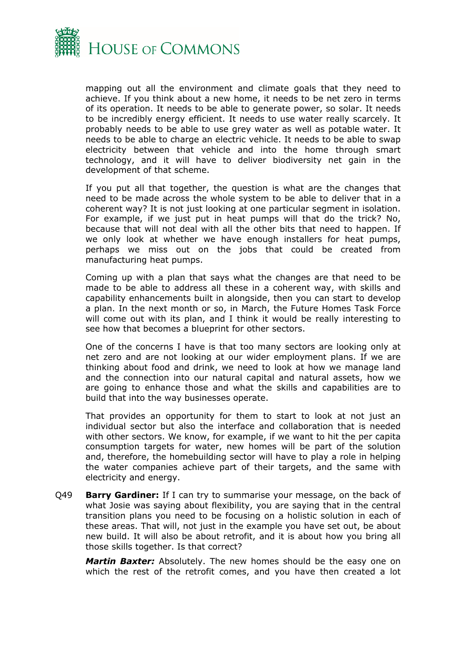

mapping out all the environment and climate goals that they need to achieve. If you think about a new home, it needs to be net zero in terms of its operation. It needs to be able to generate power, so solar. It needs to be incredibly energy efficient. It needs to use water really scarcely. It probably needs to be able to use grey water as well as potable water. It needs to be able to charge an electric vehicle. It needs to be able to swap electricity between that vehicle and into the home through smart technology, and it will have to deliver biodiversity net gain in the development of that scheme.

If you put all that together, the question is what are the changes that need to be made across the whole system to be able to deliver that in a coherent way? It is not just looking at one particular segment in isolation. For example, if we just put in heat pumps will that do the trick? No, because that will not deal with all the other bits that need to happen. If we only look at whether we have enough installers for heat pumps, perhaps we miss out on the jobs that could be created from manufacturing heat pumps.

Coming up with a plan that says what the changes are that need to be made to be able to address all these in a coherent way, with skills and capability enhancements built in alongside, then you can start to develop a plan. In the next month or so, in March, the Future Homes Task Force will come out with its plan, and I think it would be really interesting to see how that becomes a blueprint for other sectors.

One of the concerns I have is that too many sectors are looking only at net zero and are not looking at our wider employment plans. If we are thinking about food and drink, we need to look at how we manage land and the connection into our natural capital and natural assets, how we are going to enhance those and what the skills and capabilities are to build that into the way businesses operate.

That provides an opportunity for them to start to look at not just an individual sector but also the interface and collaboration that is needed with other sectors. We know, for example, if we want to hit the per capita consumption targets for water, new homes will be part of the solution and, therefore, the homebuilding sector will have to play a role in helping the water companies achieve part of their targets, and the same with electricity and energy.

Q49 **Barry Gardiner:** If I can try to summarise your message, on the back of what Josie was saying about flexibility, you are saying that in the central transition plans you need to be focusing on a holistic solution in each of these areas. That will, not just in the example you have set out, be about new build. It will also be about retrofit, and it is about how you bring all those skills together. Is that correct?

*Martin Baxter:* Absolutely. The new homes should be the easy one on which the rest of the retrofit comes, and you have then created a lot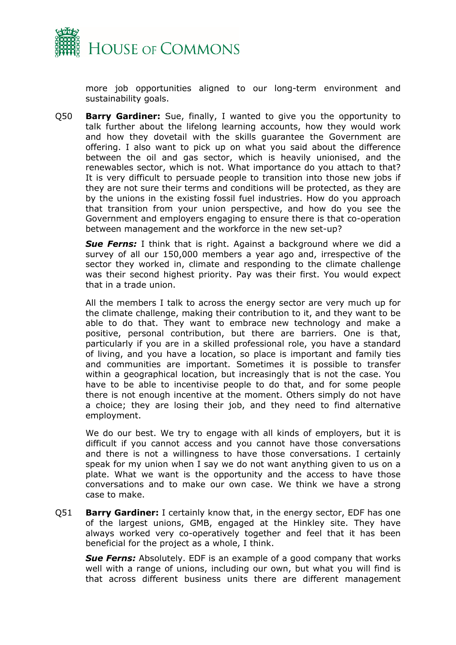

more job opportunities aligned to our long-term environment and sustainability goals.

Q50 **Barry Gardiner:** Sue, finally, I wanted to give you the opportunity to talk further about the lifelong learning accounts, how they would work and how they dovetail with the skills guarantee the Government are offering. I also want to pick up on what you said about the difference between the oil and gas sector, which is heavily unionised, and the renewables sector, which is not. What importance do you attach to that? It is very difficult to persuade people to transition into those new jobs if they are not sure their terms and conditions will be protected, as they are by the unions in the existing fossil fuel industries. How do you approach that transition from your union perspective, and how do you see the Government and employers engaging to ensure there is that co-operation between management and the workforce in the new set-up?

**Sue Ferns:** I think that is right. Against a background where we did a survey of all our 150,000 members a year ago and, irrespective of the sector they worked in, climate and responding to the climate challenge was their second highest priority. Pay was their first. You would expect that in a trade union.

All the members I talk to across the energy sector are very much up for the climate challenge, making their contribution to it, and they want to be able to do that. They want to embrace new technology and make a positive, personal contribution, but there are barriers. One is that, particularly if you are in a skilled professional role, you have a standard of living, and you have a location, so place is important and family ties and communities are important. Sometimes it is possible to transfer within a geographical location, but increasingly that is not the case. You have to be able to incentivise people to do that, and for some people there is not enough incentive at the moment. Others simply do not have a choice; they are losing their job, and they need to find alternative employment.

We do our best. We try to engage with all kinds of employers, but it is difficult if you cannot access and you cannot have those conversations and there is not a willingness to have those conversations. I certainly speak for my union when I say we do not want anything given to us on a plate. What we want is the opportunity and the access to have those conversations and to make our own case. We think we have a strong case to make.

Q51 **Barry Gardiner:** I certainly know that, in the energy sector, EDF has one of the largest unions, GMB, engaged at the Hinkley site. They have always worked very co-operatively together and feel that it has been beneficial for the project as a whole, I think.

**Sue Ferns:** Absolutely. EDF is an example of a good company that works well with a range of unions, including our own, but what you will find is that across different business units there are different management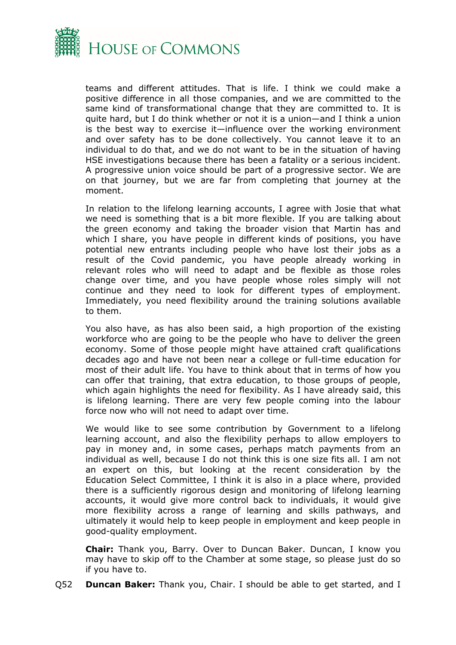

teams and different attitudes. That is life. I think we could make a positive difference in all those companies, and we are committed to the same kind of transformational change that they are committed to. It is quite hard, but I do think whether or not it is a union—and I think a union is the best way to exercise it—influence over the working environment and over safety has to be done collectively. You cannot leave it to an individual to do that, and we do not want to be in the situation of having HSE investigations because there has been a fatality or a serious incident. A progressive union voice should be part of a progressive sector. We are on that journey, but we are far from completing that journey at the moment.

In relation to the lifelong learning accounts, I agree with Josie that what we need is something that is a bit more flexible. If you are talking about the green economy and taking the broader vision that Martin has and which I share, you have people in different kinds of positions, you have potential new entrants including people who have lost their jobs as a result of the Covid pandemic, you have people already working in relevant roles who will need to adapt and be flexible as those roles change over time, and you have people whose roles simply will not continue and they need to look for different types of employment. Immediately, you need flexibility around the training solutions available to them.

You also have, as has also been said, a high proportion of the existing workforce who are going to be the people who have to deliver the green economy. Some of those people might have attained craft qualifications decades ago and have not been near a college or full-time education for most of their adult life. You have to think about that in terms of how you can offer that training, that extra education, to those groups of people, which again highlights the need for flexibility. As I have already said, this is lifelong learning. There are very few people coming into the labour force now who will not need to adapt over time.

We would like to see some contribution by Government to a lifelong learning account, and also the flexibility perhaps to allow employers to pay in money and, in some cases, perhaps match payments from an individual as well, because I do not think this is one size fits all. I am not an expert on this, but looking at the recent consideration by the Education Select Committee, I think it is also in a place where, provided there is a sufficiently rigorous design and monitoring of lifelong learning accounts, it would give more control back to individuals, it would give more flexibility across a range of learning and skills pathways, and ultimately it would help to keep people in employment and keep people in good-quality employment.

**Chair:** Thank you, Barry. Over to Duncan Baker. Duncan, I know you may have to skip off to the Chamber at some stage, so please just do so if you have to.

Q52 **Duncan Baker:** Thank you, Chair. I should be able to get started, and I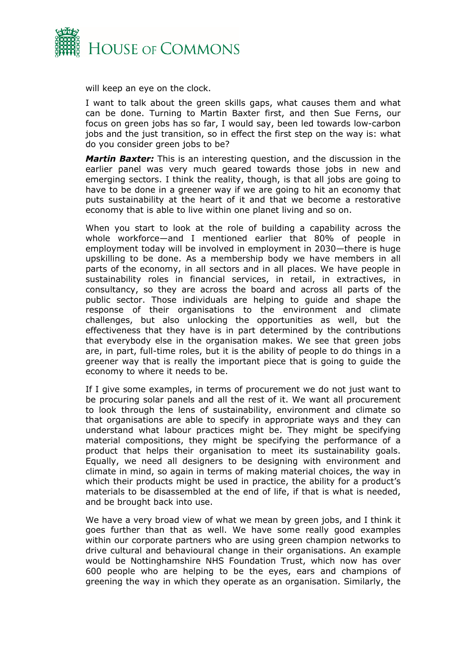

will keep an eye on the clock.

I want to talk about the green skills gaps, what causes them and what can be done. Turning to Martin Baxter first, and then Sue Ferns, our focus on green jobs has so far, I would say, been led towards low-carbon jobs and the just transition, so in effect the first step on the way is: what do you consider green jobs to be?

*Martin Baxter:* This is an interesting question, and the discussion in the earlier panel was very much geared towards those jobs in new and emerging sectors. I think the reality, though, is that all jobs are going to have to be done in a greener way if we are going to hit an economy that puts sustainability at the heart of it and that we become a restorative economy that is able to live within one planet living and so on.

When you start to look at the role of building a capability across the whole workforce—and I mentioned earlier that 80% of people in employment today will be involved in employment in 2030—there is huge upskilling to be done. As a membership body we have members in all parts of the economy, in all sectors and in all places. We have people in sustainability roles in financial services, in retail, in extractives, in consultancy, so they are across the board and across all parts of the public sector. Those individuals are helping to guide and shape the response of their organisations to the environment and climate challenges, but also unlocking the opportunities as well, but the effectiveness that they have is in part determined by the contributions that everybody else in the organisation makes. We see that green jobs are, in part, full-time roles, but it is the ability of people to do things in a greener way that is really the important piece that is going to guide the economy to where it needs to be.

If I give some examples, in terms of procurement we do not just want to be procuring solar panels and all the rest of it. We want all procurement to look through the lens of sustainability, environment and climate so that organisations are able to specify in appropriate ways and they can understand what labour practices might be. They might be specifying material compositions, they might be specifying the performance of a product that helps their organisation to meet its sustainability goals. Equally, we need all designers to be designing with environment and climate in mind, so again in terms of making material choices, the way in which their products might be used in practice, the ability for a product's materials to be disassembled at the end of life, if that is what is needed, and be brought back into use.

We have a very broad view of what we mean by green jobs, and I think it goes further than that as well. We have some really good examples within our corporate partners who are using green champion networks to drive cultural and behavioural change in their organisations. An example would be Nottinghamshire NHS Foundation Trust, which now has over 600 people who are helping to be the eyes, ears and champions of greening the way in which they operate as an organisation. Similarly, the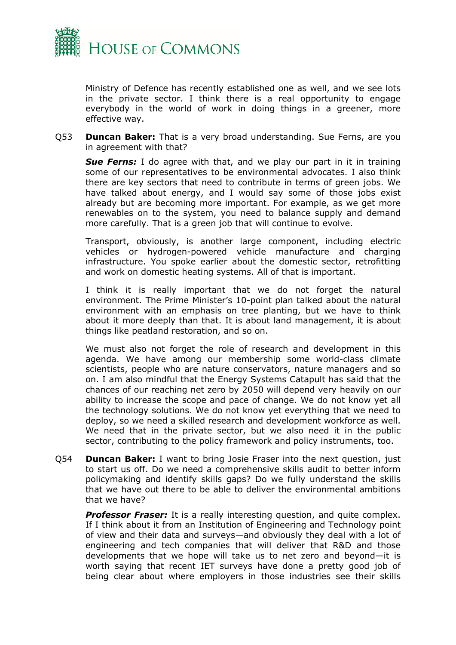

Ministry of Defence has recently established one as well, and we see lots in the private sector. I think there is a real opportunity to engage everybody in the world of work in doing things in a greener, more effective way.

Q53 **Duncan Baker:** That is a very broad understanding. Sue Ferns, are you in agreement with that?

*Sue Ferns:* I do agree with that, and we play our part in it in training some of our representatives to be environmental advocates. I also think there are key sectors that need to contribute in terms of green jobs. We have talked about energy, and I would say some of those jobs exist already but are becoming more important. For example, as we get more renewables on to the system, you need to balance supply and demand more carefully. That is a green job that will continue to evolve.

Transport, obviously, is another large component, including electric vehicles or hydrogen-powered vehicle manufacture and charging infrastructure. You spoke earlier about the domestic sector, retrofitting and work on domestic heating systems. All of that is important.

I think it is really important that we do not forget the natural environment. The Prime Minister's 10-point plan talked about the natural environment with an emphasis on tree planting, but we have to think about it more deeply than that. It is about land management, it is about things like peatland restoration, and so on.

We must also not forget the role of research and development in this agenda. We have among our membership some world-class climate scientists, people who are nature conservators, nature managers and so on. I am also mindful that the Energy Systems Catapult has said that the chances of our reaching net zero by 2050 will depend very heavily on our ability to increase the scope and pace of change. We do not know yet all the technology solutions. We do not know yet everything that we need to deploy, so we need a skilled research and development workforce as well. We need that in the private sector, but we also need it in the public sector, contributing to the policy framework and policy instruments, too.

Q54 **Duncan Baker:** I want to bring Josie Fraser into the next question, just to start us off. Do we need a comprehensive skills audit to better inform policymaking and identify skills gaps? Do we fully understand the skills that we have out there to be able to deliver the environmental ambitions that we have?

**Professor Fraser:** It is a really interesting question, and quite complex. If I think about it from an Institution of Engineering and Technology point of view and their data and surveys—and obviously they deal with a lot of engineering and tech companies that will deliver that R&D and those developments that we hope will take us to net zero and beyond—it is worth saying that recent IET surveys have done a pretty good job of being clear about where employers in those industries see their skills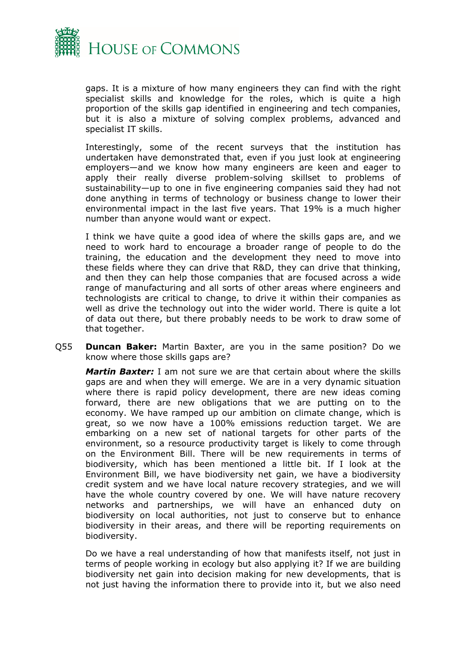

gaps. It is a mixture of how many engineers they can find with the right specialist skills and knowledge for the roles, which is quite a high proportion of the skills gap identified in engineering and tech companies, but it is also a mixture of solving complex problems, advanced and specialist IT skills.

Interestingly, some of the recent surveys that the institution has undertaken have demonstrated that, even if you just look at engineering employers—and we know how many engineers are keen and eager to apply their really diverse problem-solving skillset to problems of sustainability—up to one in five engineering companies said they had not done anything in terms of technology or business change to lower their environmental impact in the last five years. That 19% is a much higher number than anyone would want or expect.

I think we have quite a good idea of where the skills gaps are, and we need to work hard to encourage a broader range of people to do the training, the education and the development they need to move into these fields where they can drive that R&D, they can drive that thinking, and then they can help those companies that are focused across a wide range of manufacturing and all sorts of other areas where engineers and technologists are critical to change, to drive it within their companies as well as drive the technology out into the wider world. There is quite a lot of data out there, but there probably needs to be work to draw some of that together.

Q55 **Duncan Baker:** Martin Baxter, are you in the same position? Do we know where those skills gaps are?

*Martin Baxter:* I am not sure we are that certain about where the skills gaps are and when they will emerge. We are in a very dynamic situation where there is rapid policy development, there are new ideas coming forward, there are new obligations that we are putting on to the economy. We have ramped up our ambition on climate change, which is great, so we now have a 100% emissions reduction target. We are embarking on a new set of national targets for other parts of the environment, so a resource productivity target is likely to come through on the Environment Bill. There will be new requirements in terms of biodiversity, which has been mentioned a little bit. If I look at the Environment Bill, we have biodiversity net gain, we have a biodiversity credit system and we have local nature recovery strategies, and we will have the whole country covered by one. We will have nature recovery networks and partnerships, we will have an enhanced duty on biodiversity on local authorities, not just to conserve but to enhance biodiversity in their areas, and there will be reporting requirements on biodiversity.

Do we have a real understanding of how that manifests itself, not just in terms of people working in ecology but also applying it? If we are building biodiversity net gain into decision making for new developments, that is not just having the information there to provide into it, but we also need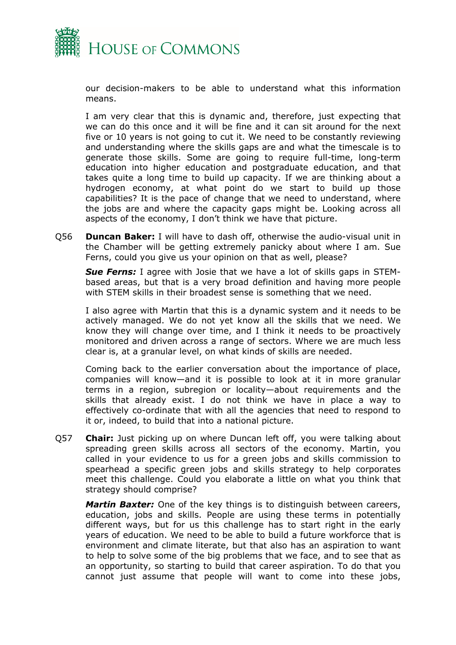

our decision-makers to be able to understand what this information means.

I am very clear that this is dynamic and, therefore, just expecting that we can do this once and it will be fine and it can sit around for the next five or 10 years is not going to cut it. We need to be constantly reviewing and understanding where the skills gaps are and what the timescale is to generate those skills. Some are going to require full-time, long-term education into higher education and postgraduate education, and that takes quite a long time to build up capacity. If we are thinking about a hydrogen economy, at what point do we start to build up those capabilities? It is the pace of change that we need to understand, where the jobs are and where the capacity gaps might be. Looking across all aspects of the economy, I don't think we have that picture.

Q56 **Duncan Baker:** I will have to dash off, otherwise the audio-visual unit in the Chamber will be getting extremely panicky about where I am. Sue Ferns, could you give us your opinion on that as well, please?

*Sue Ferns:* I agree with Josie that we have a lot of skills gaps in STEMbased areas, but that is a very broad definition and having more people with STEM skills in their broadest sense is something that we need.

I also agree with Martin that this is a dynamic system and it needs to be actively managed. We do not yet know all the skills that we need. We know they will change over time, and I think it needs to be proactively monitored and driven across a range of sectors. Where we are much less clear is, at a granular level, on what kinds of skills are needed.

Coming back to the earlier conversation about the importance of place, companies will know—and it is possible to look at it in more granular terms in a region, subregion or locality—about requirements and the skills that already exist. I do not think we have in place a way to effectively co-ordinate that with all the agencies that need to respond to it or, indeed, to build that into a national picture.

Q57 **Chair:** Just picking up on where Duncan left off, you were talking about spreading green skills across all sectors of the economy. Martin, you called in your evidence to us for a green jobs and skills commission to spearhead a specific green jobs and skills strategy to help corporates meet this challenge. Could you elaborate a little on what you think that strategy should comprise?

*Martin Baxter:* One of the key things is to distinguish between careers, education, jobs and skills. People are using these terms in potentially different ways, but for us this challenge has to start right in the early years of education. We need to be able to build a future workforce that is environment and climate literate, but that also has an aspiration to want to help to solve some of the big problems that we face, and to see that as an opportunity, so starting to build that career aspiration. To do that you cannot just assume that people will want to come into these jobs,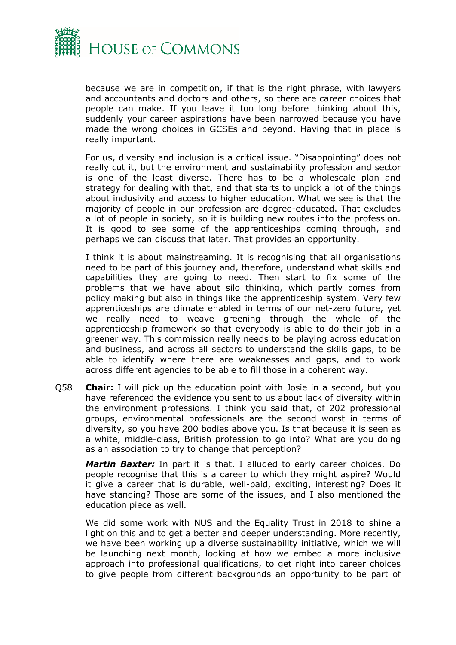

because we are in competition, if that is the right phrase, with lawyers and accountants and doctors and others, so there are career choices that people can make. If you leave it too long before thinking about this, suddenly your career aspirations have been narrowed because you have made the wrong choices in GCSEs and beyond. Having that in place is really important.

For us, diversity and inclusion is a critical issue. "Disappointing" does not really cut it, but the environment and sustainability profession and sector is one of the least diverse. There has to be a wholescale plan and strategy for dealing with that, and that starts to unpick a lot of the things about inclusivity and access to higher education. What we see is that the majority of people in our profession are degree-educated. That excludes a lot of people in society, so it is building new routes into the profession. It is good to see some of the apprenticeships coming through, and perhaps we can discuss that later. That provides an opportunity.

I think it is about mainstreaming. It is recognising that all organisations need to be part of this journey and, therefore, understand what skills and capabilities they are going to need. Then start to fix some of the problems that we have about silo thinking, which partly comes from policy making but also in things like the apprenticeship system. Very few apprenticeships are climate enabled in terms of our net-zero future, yet we really need to weave greening through the whole of the apprenticeship framework so that everybody is able to do their job in a greener way. This commission really needs to be playing across education and business, and across all sectors to understand the skills gaps, to be able to identify where there are weaknesses and gaps, and to work across different agencies to be able to fill those in a coherent way.

Q58 **Chair:** I will pick up the education point with Josie in a second, but you have referenced the evidence you sent to us about lack of diversity within the environment professions. I think you said that, of 202 professional groups, environmental professionals are the second worst in terms of diversity, so you have 200 bodies above you. Is that because it is seen as a white, middle-class, British profession to go into? What are you doing as an association to try to change that perception?

*Martin Baxter:* In part it is that. I alluded to early career choices. Do people recognise that this is a career to which they might aspire? Would it give a career that is durable, well-paid, exciting, interesting? Does it have standing? Those are some of the issues, and I also mentioned the education piece as well.

We did some work with NUS and the Equality Trust in 2018 to shine a light on this and to get a better and deeper understanding. More recently, we have been working up a diverse sustainability initiative, which we will be launching next month, looking at how we embed a more inclusive approach into professional qualifications, to get right into career choices to give people from different backgrounds an opportunity to be part of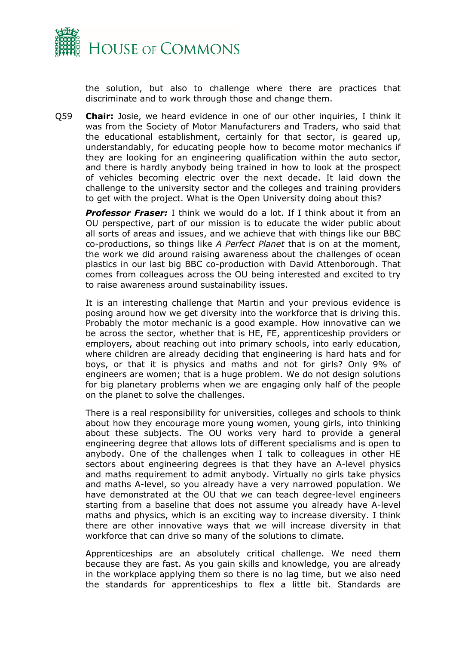

the solution, but also to challenge where there are practices that discriminate and to work through those and change them.

Q59 **Chair:** Josie, we heard evidence in one of our other inquiries, I think it was from the Society of Motor Manufacturers and Traders, who said that the educational establishment, certainly for that sector, is geared up, understandably, for educating people how to become motor mechanics if they are looking for an engineering qualification within the auto sector, and there is hardly anybody being trained in how to look at the prospect of vehicles becoming electric over the next decade. It laid down the challenge to the university sector and the colleges and training providers to get with the project. What is the Open University doing about this?

*Professor Fraser:* I think we would do a lot. If I think about it from an OU perspective, part of our mission is to educate the wider public about all sorts of areas and issues, and we achieve that with things like our BBC co-productions, so things like *A Perfect Planet* that is on at the moment, the work we did around raising awareness about the challenges of ocean plastics in our last big BBC co-production with David Attenborough. That comes from colleagues across the OU being interested and excited to try to raise awareness around sustainability issues.

It is an interesting challenge that Martin and your previous evidence is posing around how we get diversity into the workforce that is driving this. Probably the motor mechanic is a good example. How innovative can we be across the sector, whether that is HE, FE, apprenticeship providers or employers, about reaching out into primary schools, into early education, where children are already deciding that engineering is hard hats and for boys, or that it is physics and maths and not for girls? Only 9% of engineers are women; that is a huge problem. We do not design solutions for big planetary problems when we are engaging only half of the people on the planet to solve the challenges.

There is a real responsibility for universities, colleges and schools to think about how they encourage more young women, young girls, into thinking about these subjects. The OU works very hard to provide a general engineering degree that allows lots of different specialisms and is open to anybody. One of the challenges when I talk to colleagues in other HE sectors about engineering degrees is that they have an A-level physics and maths requirement to admit anybody. Virtually no girls take physics and maths A-level, so you already have a very narrowed population. We have demonstrated at the OU that we can teach degree-level engineers starting from a baseline that does not assume you already have A-level maths and physics, which is an exciting way to increase diversity. I think there are other innovative ways that we will increase diversity in that workforce that can drive so many of the solutions to climate.

Apprenticeships are an absolutely critical challenge. We need them because they are fast. As you gain skills and knowledge, you are already in the workplace applying them so there is no lag time, but we also need the standards for apprenticeships to flex a little bit. Standards are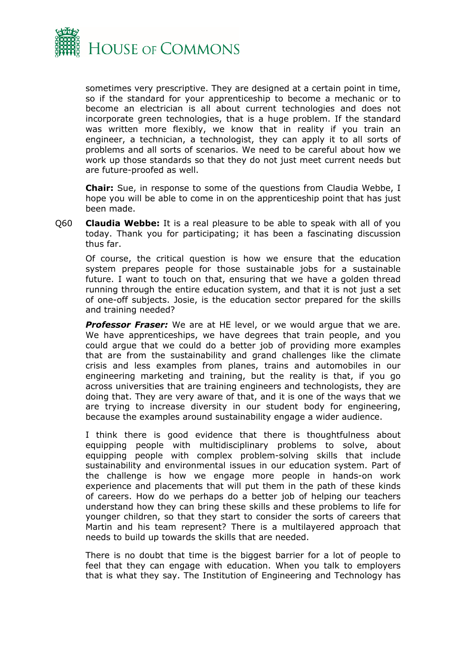

sometimes very prescriptive. They are designed at a certain point in time, so if the standard for your apprenticeship to become a mechanic or to become an electrician is all about current technologies and does not incorporate green technologies, that is a huge problem. If the standard was written more flexibly, we know that in reality if you train an engineer, a technician, a technologist, they can apply it to all sorts of problems and all sorts of scenarios. We need to be careful about how we work up those standards so that they do not just meet current needs but are future-proofed as well.

**Chair:** Sue, in response to some of the questions from Claudia Webbe, I hope you will be able to come in on the apprenticeship point that has just been made.

Q60 **Claudia Webbe:** It is a real pleasure to be able to speak with all of you today. Thank you for participating; it has been a fascinating discussion thus far.

Of course, the critical question is how we ensure that the education system prepares people for those sustainable jobs for a sustainable future. I want to touch on that, ensuring that we have a golden thread running through the entire education system, and that it is not just a set of one-off subjects. Josie, is the education sector prepared for the skills and training needed?

**Professor Fraser:** We are at HE level, or we would arque that we are. We have apprenticeships, we have degrees that train people, and you could argue that we could do a better job of providing more examples that are from the sustainability and grand challenges like the climate crisis and less examples from planes, trains and automobiles in our engineering marketing and training, but the reality is that, if you go across universities that are training engineers and technologists, they are doing that. They are very aware of that, and it is one of the ways that we are trying to increase diversity in our student body for engineering, because the examples around sustainability engage a wider audience.

I think there is good evidence that there is thoughtfulness about equipping people with multidisciplinary problems to solve, about equipping people with complex problem-solving skills that include sustainability and environmental issues in our education system. Part of the challenge is how we engage more people in hands-on work experience and placements that will put them in the path of these kinds of careers. How do we perhaps do a better job of helping our teachers understand how they can bring these skills and these problems to life for younger children, so that they start to consider the sorts of careers that Martin and his team represent? There is a multilayered approach that needs to build up towards the skills that are needed.

There is no doubt that time is the biggest barrier for a lot of people to feel that they can engage with education. When you talk to employers that is what they say. The Institution of Engineering and Technology has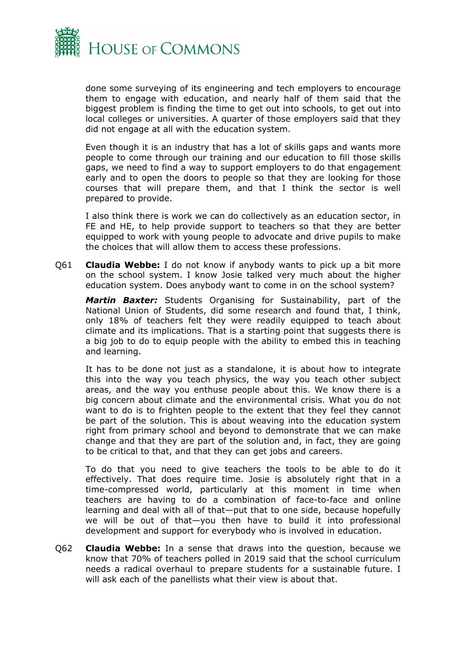

done some surveying of its engineering and tech employers to encourage them to engage with education, and nearly half of them said that the biggest problem is finding the time to get out into schools, to get out into local colleges or universities. A quarter of those employers said that they did not engage at all with the education system.

Even though it is an industry that has a lot of skills gaps and wants more people to come through our training and our education to fill those skills gaps, we need to find a way to support employers to do that engagement early and to open the doors to people so that they are looking for those courses that will prepare them, and that I think the sector is well prepared to provide.

I also think there is work we can do collectively as an education sector, in FE and HE, to help provide support to teachers so that they are better equipped to work with young people to advocate and drive pupils to make the choices that will allow them to access these professions.

Q61 **Claudia Webbe:** I do not know if anybody wants to pick up a bit more on the school system. I know Josie talked very much about the higher education system. Does anybody want to come in on the school system?

*Martin Baxter:* Students Organising for Sustainability, part of the National Union of Students, did some research and found that, I think, only 18% of teachers felt they were readily equipped to teach about climate and its implications. That is a starting point that suggests there is a big job to do to equip people with the ability to embed this in teaching and learning.

It has to be done not just as a standalone, it is about how to integrate this into the way you teach physics, the way you teach other subject areas, and the way you enthuse people about this. We know there is a big concern about climate and the environmental crisis. What you do not want to do is to frighten people to the extent that they feel they cannot be part of the solution. This is about weaving into the education system right from primary school and beyond to demonstrate that we can make change and that they are part of the solution and, in fact, they are going to be critical to that, and that they can get jobs and careers.

To do that you need to give teachers the tools to be able to do it effectively. That does require time. Josie is absolutely right that in a time-compressed world, particularly at this moment in time when teachers are having to do a combination of face-to-face and online learning and deal with all of that—put that to one side, because hopefully we will be out of that—you then have to build it into professional development and support for everybody who is involved in education.

Q62 **Claudia Webbe:** In a sense that draws into the question, because we know that 70% of teachers polled in 2019 said that the school curriculum needs a radical overhaul to prepare students for a sustainable future. I will ask each of the panellists what their view is about that.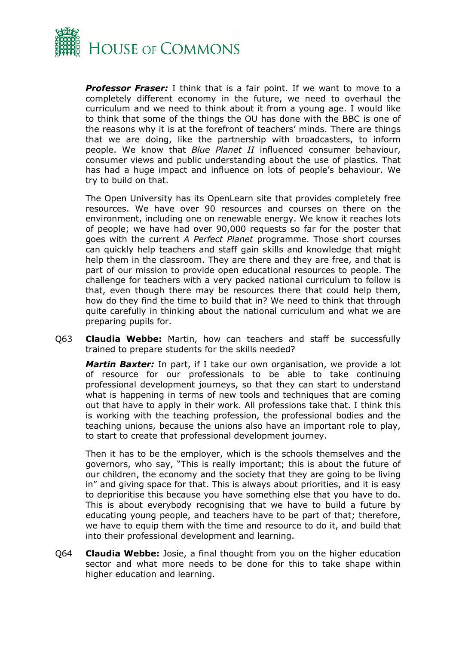

*Professor Fraser:* I think that is a fair point. If we want to move to a completely different economy in the future, we need to overhaul the curriculum and we need to think about it from a young age. I would like to think that some of the things the OU has done with the BBC is one of the reasons why it is at the forefront of teachers' minds. There are things that we are doing, like the partnership with broadcasters, to inform people. We know that *Blue Planet II* influenced consumer behaviour, consumer views and public understanding about the use of plastics. That has had a huge impact and influence on lots of people's behaviour. We try to build on that.

The Open University has its OpenLearn site that provides completely free resources. We have over 90 resources and courses on there on the environment, including one on renewable energy. We know it reaches lots of people; we have had over 90,000 requests so far for the poster that goes with the current *A Perfect Planet* programme. Those short courses can quickly help teachers and staff gain skills and knowledge that might help them in the classroom. They are there and they are free, and that is part of our mission to provide open educational resources to people. The challenge for teachers with a very packed national curriculum to follow is that, even though there may be resources there that could help them, how do they find the time to build that in? We need to think that through quite carefully in thinking about the national curriculum and what we are preparing pupils for.

Q63 **Claudia Webbe:** Martin, how can teachers and staff be successfully trained to prepare students for the skills needed?

*Martin Baxter:* In part, if I take our own organisation, we provide a lot of resource for our professionals to be able to take continuing professional development journeys, so that they can start to understand what is happening in terms of new tools and techniques that are coming out that have to apply in their work. All professions take that. I think this is working with the teaching profession, the professional bodies and the teaching unions, because the unions also have an important role to play, to start to create that professional development journey.

Then it has to be the employer, which is the schools themselves and the governors, who say, "This is really important; this is about the future of our children, the economy and the society that they are going to be living in" and giving space for that. This is always about priorities, and it is easy to deprioritise this because you have something else that you have to do. This is about everybody recognising that we have to build a future by educating young people, and teachers have to be part of that; therefore, we have to equip them with the time and resource to do it, and build that into their professional development and learning.

Q64 **Claudia Webbe:** Josie, a final thought from you on the higher education sector and what more needs to be done for this to take shape within higher education and learning.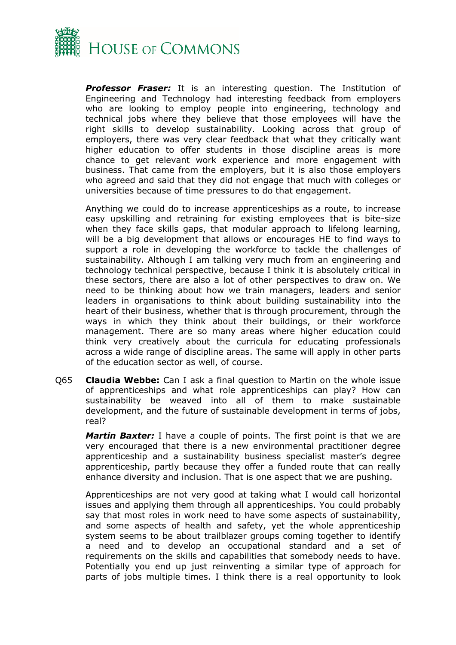

*Professor Fraser:* It is an interesting question. The Institution of Engineering and Technology had interesting feedback from employers who are looking to employ people into engineering, technology and technical jobs where they believe that those employees will have the right skills to develop sustainability. Looking across that group of employers, there was very clear feedback that what they critically want higher education to offer students in those discipline areas is more chance to get relevant work experience and more engagement with business. That came from the employers, but it is also those employers who agreed and said that they did not engage that much with colleges or universities because of time pressures to do that engagement.

Anything we could do to increase apprenticeships as a route, to increase easy upskilling and retraining for existing employees that is bite-size when they face skills gaps, that modular approach to lifelong learning, will be a big development that allows or encourages HE to find ways to support a role in developing the workforce to tackle the challenges of sustainability. Although I am talking very much from an engineering and technology technical perspective, because I think it is absolutely critical in these sectors, there are also a lot of other perspectives to draw on. We need to be thinking about how we train managers, leaders and senior leaders in organisations to think about building sustainability into the heart of their business, whether that is through procurement, through the ways in which they think about their buildings, or their workforce management. There are so many areas where higher education could think very creatively about the curricula for educating professionals across a wide range of discipline areas. The same will apply in other parts of the education sector as well, of course.

Q65 **Claudia Webbe:** Can I ask a final question to Martin on the whole issue of apprenticeships and what role apprenticeships can play? How can sustainability be weaved into all of them to make sustainable development, and the future of sustainable development in terms of jobs, real?

*Martin Baxter:* I have a couple of points. The first point is that we are very encouraged that there is a new environmental practitioner degree apprenticeship and a sustainability business specialist master's degree apprenticeship, partly because they offer a funded route that can really enhance diversity and inclusion. That is one aspect that we are pushing.

Apprenticeships are not very good at taking what I would call horizontal issues and applying them through all apprenticeships. You could probably say that most roles in work need to have some aspects of sustainability, and some aspects of health and safety, yet the whole apprenticeship system seems to be about trailblazer groups coming together to identify a need and to develop an occupational standard and a set of requirements on the skills and capabilities that somebody needs to have. Potentially you end up just reinventing a similar type of approach for parts of jobs multiple times. I think there is a real opportunity to look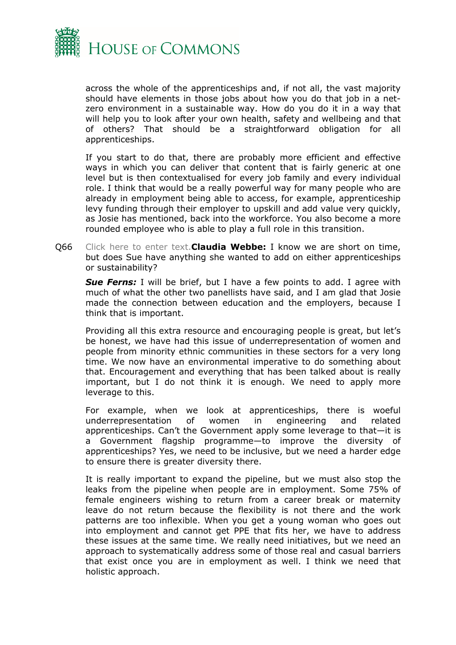

across the whole of the apprenticeships and, if not all, the vast majority should have elements in those jobs about how you do that job in a netzero environment in a sustainable way. How do you do it in a way that will help you to look after your own health, safety and wellbeing and that of others? That should be a straightforward obligation for all apprenticeships.

If you start to do that, there are probably more efficient and effective ways in which you can deliver that content that is fairly generic at one level but is then contextualised for every job family and every individual role. I think that would be a really powerful way for many people who are already in employment being able to access, for example, apprenticeship levy funding through their employer to upskill and add value very quickly, as Josie has mentioned, back into the workforce. You also become a more rounded employee who is able to play a full role in this transition.

Q66 Click here to enter text.**Claudia Webbe:** I know we are short on time, but does Sue have anything she wanted to add on either apprenticeships or sustainability?

*Sue Ferns:* I will be brief, but I have a few points to add. I agree with much of what the other two panellists have said, and I am glad that Josie made the connection between education and the employers, because I think that is important.

Providing all this extra resource and encouraging people is great, but let's be honest, we have had this issue of underrepresentation of women and people from minority ethnic communities in these sectors for a very long time. We now have an environmental imperative to do something about that. Encouragement and everything that has been talked about is really important, but I do not think it is enough. We need to apply more leverage to this.

For example, when we look at apprenticeships, there is woeful underrepresentation of women in engineering and related apprenticeships. Can't the Government apply some leverage to that—it is a Government flagship programme—to improve the diversity of apprenticeships? Yes, we need to be inclusive, but we need a harder edge to ensure there is greater diversity there.

It is really important to expand the pipeline, but we must also stop the leaks from the pipeline when people are in employment. Some 75% of female engineers wishing to return from a career break or maternity leave do not return because the flexibility is not there and the work patterns are too inflexible. When you get a young woman who goes out into employment and cannot get PPE that fits her, we have to address these issues at the same time. We really need initiatives, but we need an approach to systematically address some of those real and casual barriers that exist once you are in employment as well. I think we need that holistic approach.